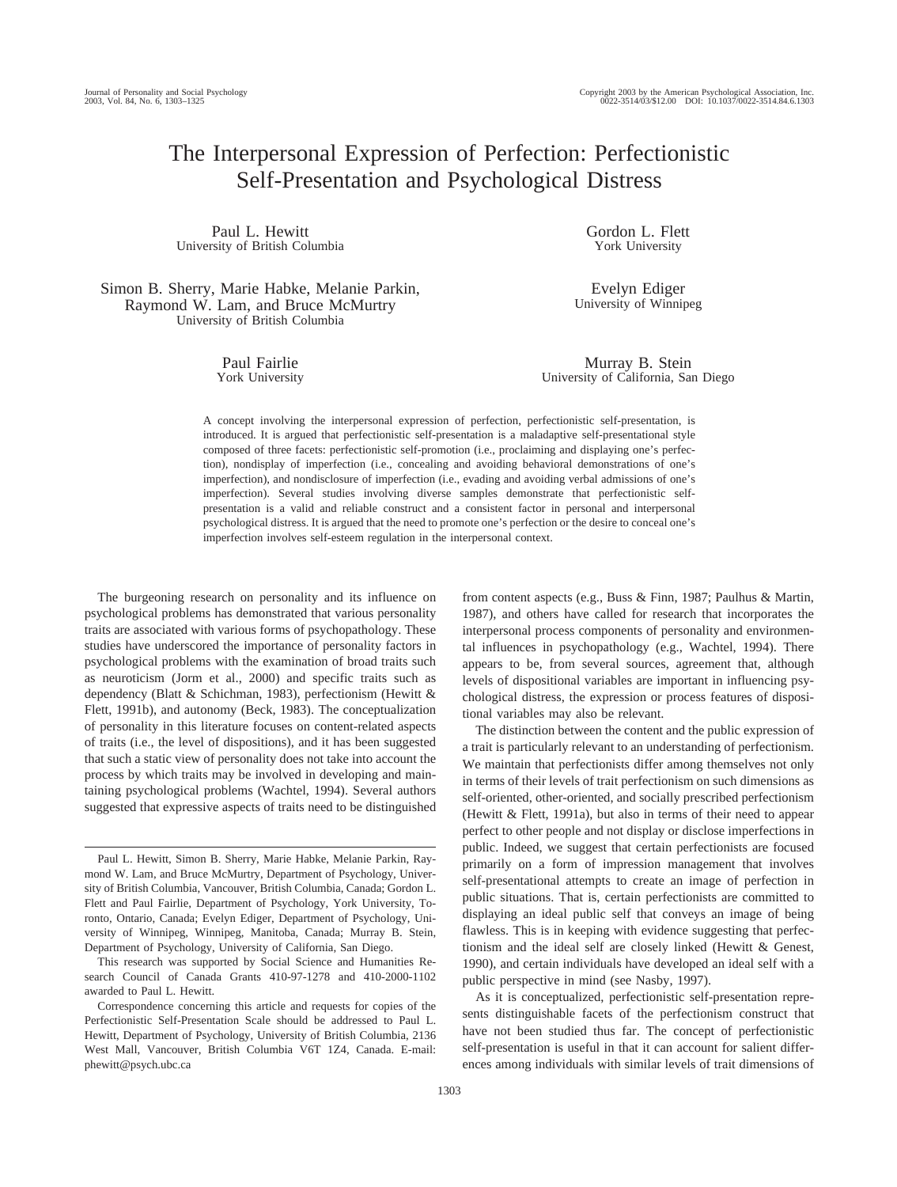# The Interpersonal Expression of Perfection: Perfectionistic Self-Presentation and Psychological Distress

Paul L. Hewitt University of British Columbia

Simon B. Sherry, Marie Habke, Melanie Parkin, Raymond W. Lam, and Bruce McMurtry University of British Columbia

> Paul Fairlie York University

Gordon L. Flett York University

Evelyn Ediger University of Winnipeg

Murray B. Stein University of California, San Diego

A concept involving the interpersonal expression of perfection, perfectionistic self-presentation, is introduced. It is argued that perfectionistic self-presentation is a maladaptive self-presentational style composed of three facets: perfectionistic self-promotion (i.e., proclaiming and displaying one's perfection), nondisplay of imperfection (i.e., concealing and avoiding behavioral demonstrations of one's imperfection), and nondisclosure of imperfection (i.e., evading and avoiding verbal admissions of one's imperfection). Several studies involving diverse samples demonstrate that perfectionistic selfpresentation is a valid and reliable construct and a consistent factor in personal and interpersonal psychological distress. It is argued that the need to promote one's perfection or the desire to conceal one's imperfection involves self-esteem regulation in the interpersonal context.

The burgeoning research on personality and its influence on psychological problems has demonstrated that various personality traits are associated with various forms of psychopathology. These studies have underscored the importance of personality factors in psychological problems with the examination of broad traits such as neuroticism (Jorm et al., 2000) and specific traits such as dependency (Blatt & Schichman, 1983), perfectionism (Hewitt & Flett, 1991b), and autonomy (Beck, 1983). The conceptualization of personality in this literature focuses on content-related aspects of traits (i.e., the level of dispositions), and it has been suggested that such a static view of personality does not take into account the process by which traits may be involved in developing and maintaining psychological problems (Wachtel, 1994). Several authors suggested that expressive aspects of traits need to be distinguished

This research was supported by Social Science and Humanities Research Council of Canada Grants 410-97-1278 and 410-2000-1102 awarded to Paul L. Hewitt.

Correspondence concerning this article and requests for copies of the Perfectionistic Self-Presentation Scale should be addressed to Paul L. Hewitt, Department of Psychology, University of British Columbia, 2136 West Mall, Vancouver, British Columbia V6T 1Z4, Canada. E-mail: phewitt@psych.ubc.ca

from content aspects (e.g., Buss & Finn, 1987; Paulhus & Martin, 1987), and others have called for research that incorporates the interpersonal process components of personality and environmental influences in psychopathology (e.g., Wachtel, 1994). There appears to be, from several sources, agreement that, although levels of dispositional variables are important in influencing psychological distress, the expression or process features of dispositional variables may also be relevant.

The distinction between the content and the public expression of a trait is particularly relevant to an understanding of perfectionism. We maintain that perfectionists differ among themselves not only in terms of their levels of trait perfectionism on such dimensions as self-oriented, other-oriented, and socially prescribed perfectionism (Hewitt & Flett, 1991a), but also in terms of their need to appear perfect to other people and not display or disclose imperfections in public. Indeed, we suggest that certain perfectionists are focused primarily on a form of impression management that involves self-presentational attempts to create an image of perfection in public situations. That is, certain perfectionists are committed to displaying an ideal public self that conveys an image of being flawless. This is in keeping with evidence suggesting that perfectionism and the ideal self are closely linked (Hewitt & Genest, 1990), and certain individuals have developed an ideal self with a public perspective in mind (see Nasby, 1997).

As it is conceptualized, perfectionistic self-presentation represents distinguishable facets of the perfectionism construct that have not been studied thus far. The concept of perfectionistic self-presentation is useful in that it can account for salient differences among individuals with similar levels of trait dimensions of

Paul L. Hewitt, Simon B. Sherry, Marie Habke, Melanie Parkin, Raymond W. Lam, and Bruce McMurtry, Department of Psychology, University of British Columbia, Vancouver, British Columbia, Canada; Gordon L. Flett and Paul Fairlie, Department of Psychology, York University, Toronto, Ontario, Canada; Evelyn Ediger, Department of Psychology, University of Winnipeg, Winnipeg, Manitoba, Canada; Murray B. Stein, Department of Psychology, University of California, San Diego.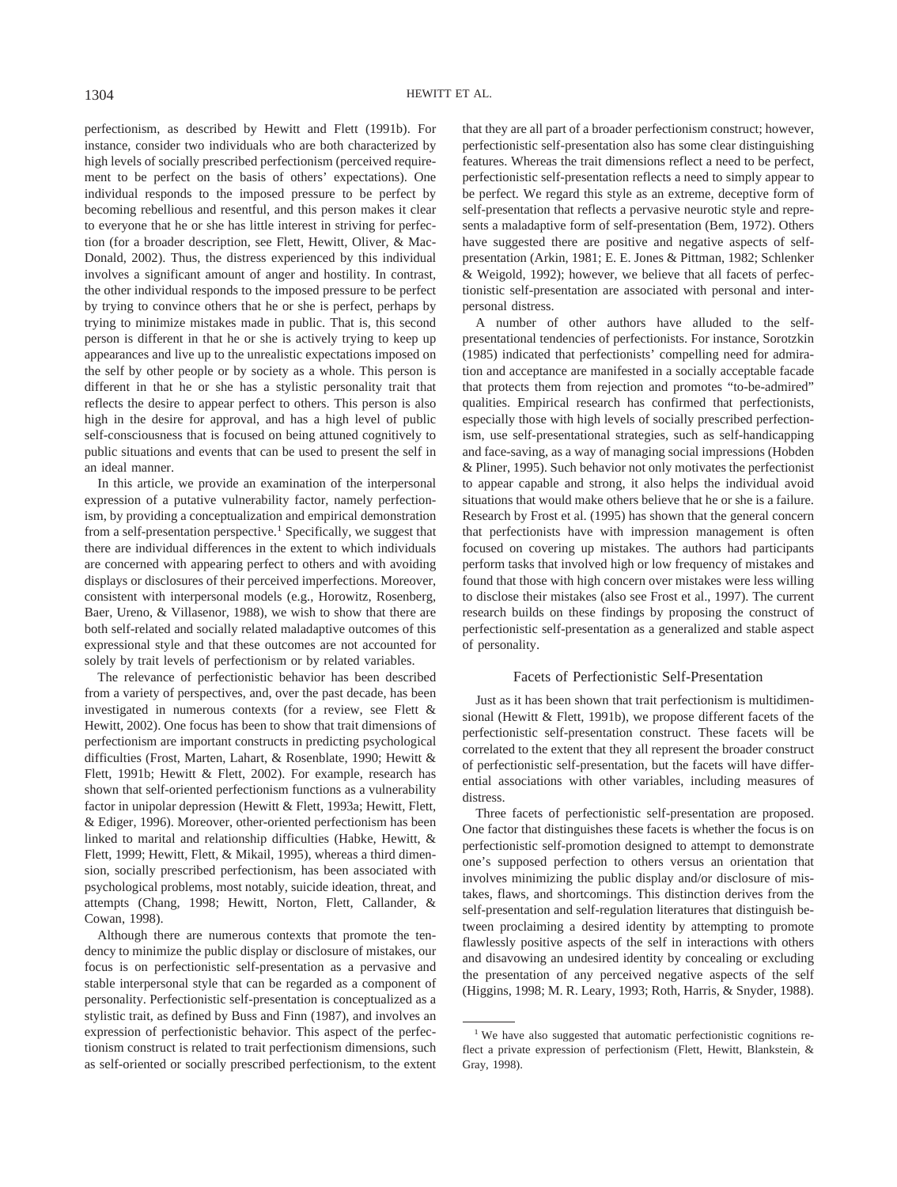perfectionism, as described by Hewitt and Flett (1991b). For instance, consider two individuals who are both characterized by high levels of socially prescribed perfectionism (perceived requirement to be perfect on the basis of others' expectations). One individual responds to the imposed pressure to be perfect by becoming rebellious and resentful, and this person makes it clear to everyone that he or she has little interest in striving for perfection (for a broader description, see Flett, Hewitt, Oliver, & Mac-Donald, 2002). Thus, the distress experienced by this individual involves a significant amount of anger and hostility. In contrast, the other individual responds to the imposed pressure to be perfect by trying to convince others that he or she is perfect, perhaps by trying to minimize mistakes made in public. That is, this second person is different in that he or she is actively trying to keep up appearances and live up to the unrealistic expectations imposed on the self by other people or by society as a whole. This person is different in that he or she has a stylistic personality trait that reflects the desire to appear perfect to others. This person is also high in the desire for approval, and has a high level of public self-consciousness that is focused on being attuned cognitively to public situations and events that can be used to present the self in an ideal manner.

In this article, we provide an examination of the interpersonal expression of a putative vulnerability factor, namely perfectionism, by providing a conceptualization and empirical demonstration from a self-presentation perspective.<sup>1</sup> Specifically, we suggest that there are individual differences in the extent to which individuals are concerned with appearing perfect to others and with avoiding displays or disclosures of their perceived imperfections. Moreover, consistent with interpersonal models (e.g., Horowitz, Rosenberg, Baer, Ureno, & Villasenor, 1988), we wish to show that there are both self-related and socially related maladaptive outcomes of this expressional style and that these outcomes are not accounted for solely by trait levels of perfectionism or by related variables.

The relevance of perfectionistic behavior has been described from a variety of perspectives, and, over the past decade, has been investigated in numerous contexts (for a review, see Flett & Hewitt, 2002). One focus has been to show that trait dimensions of perfectionism are important constructs in predicting psychological difficulties (Frost, Marten, Lahart, & Rosenblate, 1990; Hewitt & Flett, 1991b; Hewitt & Flett, 2002). For example, research has shown that self-oriented perfectionism functions as a vulnerability factor in unipolar depression (Hewitt & Flett, 1993a; Hewitt, Flett, & Ediger, 1996). Moreover, other-oriented perfectionism has been linked to marital and relationship difficulties (Habke, Hewitt, & Flett, 1999; Hewitt, Flett, & Mikail, 1995), whereas a third dimension, socially prescribed perfectionism, has been associated with psychological problems, most notably, suicide ideation, threat, and attempts (Chang, 1998; Hewitt, Norton, Flett, Callander, & Cowan, 1998).

Although there are numerous contexts that promote the tendency to minimize the public display or disclosure of mistakes, our focus is on perfectionistic self-presentation as a pervasive and stable interpersonal style that can be regarded as a component of personality. Perfectionistic self-presentation is conceptualized as a stylistic trait, as defined by Buss and Finn (1987), and involves an expression of perfectionistic behavior. This aspect of the perfectionism construct is related to trait perfectionism dimensions, such as self-oriented or socially prescribed perfectionism, to the extent that they are all part of a broader perfectionism construct; however, perfectionistic self-presentation also has some clear distinguishing features. Whereas the trait dimensions reflect a need to be perfect, perfectionistic self-presentation reflects a need to simply appear to be perfect. We regard this style as an extreme, deceptive form of self-presentation that reflects a pervasive neurotic style and represents a maladaptive form of self-presentation (Bem, 1972). Others have suggested there are positive and negative aspects of selfpresentation (Arkin, 1981; E. E. Jones & Pittman, 1982; Schlenker & Weigold, 1992); however, we believe that all facets of perfectionistic self-presentation are associated with personal and interpersonal distress.

A number of other authors have alluded to the selfpresentational tendencies of perfectionists. For instance, Sorotzkin (1985) indicated that perfectionists' compelling need for admiration and acceptance are manifested in a socially acceptable facade that protects them from rejection and promotes "to-be-admired" qualities. Empirical research has confirmed that perfectionists, especially those with high levels of socially prescribed perfectionism, use self-presentational strategies, such as self-handicapping and face-saving, as a way of managing social impressions (Hobden & Pliner, 1995). Such behavior not only motivates the perfectionist to appear capable and strong, it also helps the individual avoid situations that would make others believe that he or she is a failure. Research by Frost et al. (1995) has shown that the general concern that perfectionists have with impression management is often focused on covering up mistakes. The authors had participants perform tasks that involved high or low frequency of mistakes and found that those with high concern over mistakes were less willing to disclose their mistakes (also see Frost et al., 1997). The current research builds on these findings by proposing the construct of perfectionistic self-presentation as a generalized and stable aspect of personality.

# Facets of Perfectionistic Self-Presentation

Just as it has been shown that trait perfectionism is multidimensional (Hewitt & Flett, 1991b), we propose different facets of the perfectionistic self-presentation construct. These facets will be correlated to the extent that they all represent the broader construct of perfectionistic self-presentation, but the facets will have differential associations with other variables, including measures of distress.

Three facets of perfectionistic self-presentation are proposed. One factor that distinguishes these facets is whether the focus is on perfectionistic self-promotion designed to attempt to demonstrate one's supposed perfection to others versus an orientation that involves minimizing the public display and/or disclosure of mistakes, flaws, and shortcomings. This distinction derives from the self-presentation and self-regulation literatures that distinguish between proclaiming a desired identity by attempting to promote flawlessly positive aspects of the self in interactions with others and disavowing an undesired identity by concealing or excluding the presentation of any perceived negative aspects of the self (Higgins, 1998; M. R. Leary, 1993; Roth, Harris, & Snyder, 1988).

<sup>&</sup>lt;sup>1</sup> We have also suggested that automatic perfectionistic cognitions reflect a private expression of perfectionism (Flett, Hewitt, Blankstein, & Gray, 1998).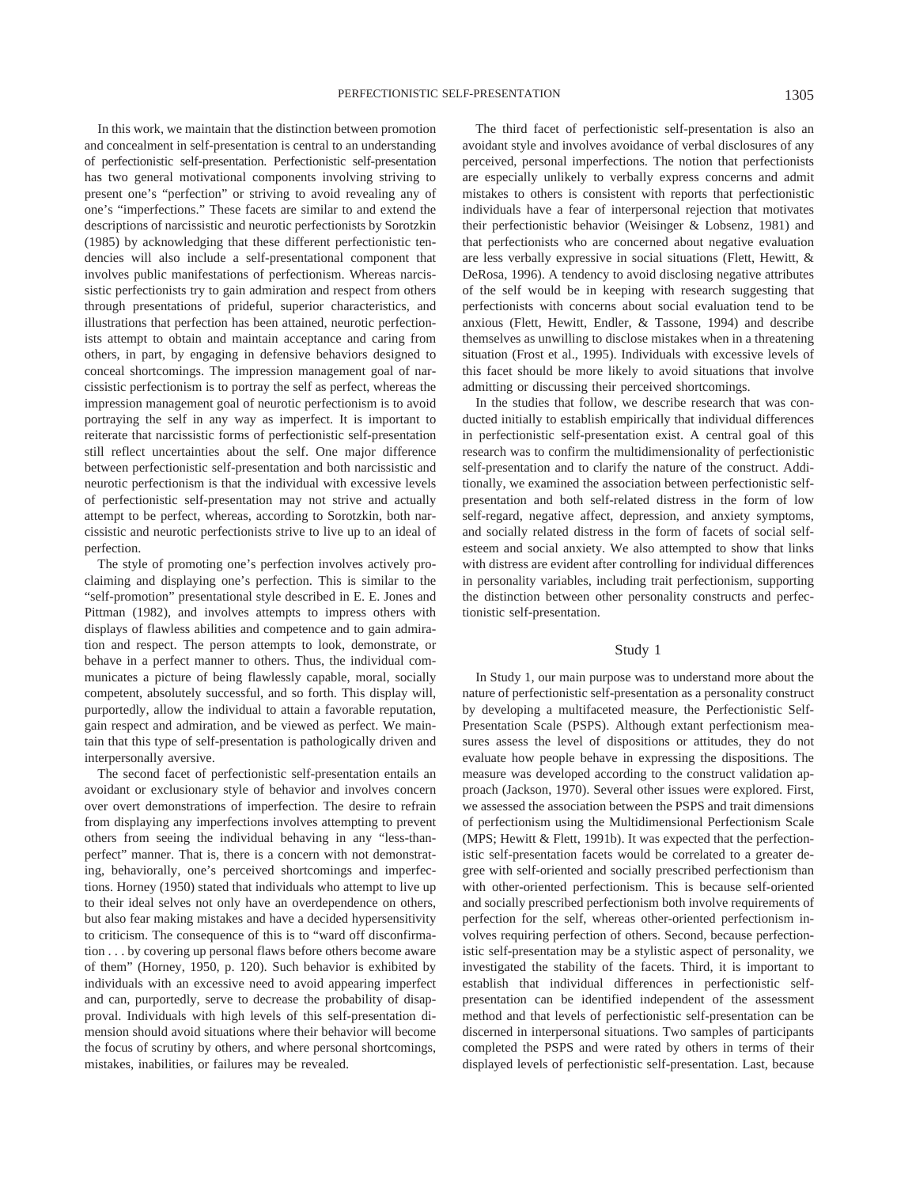In this work, we maintain that the distinction between promotion and concealment in self-presentation is central to an understanding of perfectionistic self-presentation. Perfectionistic self-presentation has two general motivational components involving striving to present one's "perfection" or striving to avoid revealing any of one's "imperfections." These facets are similar to and extend the descriptions of narcissistic and neurotic perfectionists by Sorotzkin (1985) by acknowledging that these different perfectionistic tendencies will also include a self-presentational component that involves public manifestations of perfectionism. Whereas narcissistic perfectionists try to gain admiration and respect from others through presentations of prideful, superior characteristics, and illustrations that perfection has been attained, neurotic perfectionists attempt to obtain and maintain acceptance and caring from others, in part, by engaging in defensive behaviors designed to conceal shortcomings. The impression management goal of narcissistic perfectionism is to portray the self as perfect, whereas the impression management goal of neurotic perfectionism is to avoid portraying the self in any way as imperfect. It is important to reiterate that narcissistic forms of perfectionistic self-presentation still reflect uncertainties about the self. One major difference between perfectionistic self-presentation and both narcissistic and neurotic perfectionism is that the individual with excessive levels of perfectionistic self-presentation may not strive and actually attempt to be perfect, whereas, according to Sorotzkin, both narcissistic and neurotic perfectionists strive to live up to an ideal of perfection.

The style of promoting one's perfection involves actively proclaiming and displaying one's perfection. This is similar to the "self-promotion" presentational style described in E. E. Jones and Pittman (1982), and involves attempts to impress others with displays of flawless abilities and competence and to gain admiration and respect. The person attempts to look, demonstrate, or behave in a perfect manner to others. Thus, the individual communicates a picture of being flawlessly capable, moral, socially competent, absolutely successful, and so forth. This display will, purportedly, allow the individual to attain a favorable reputation, gain respect and admiration, and be viewed as perfect. We maintain that this type of self-presentation is pathologically driven and interpersonally aversive.

The second facet of perfectionistic self-presentation entails an avoidant or exclusionary style of behavior and involves concern over overt demonstrations of imperfection. The desire to refrain from displaying any imperfections involves attempting to prevent others from seeing the individual behaving in any "less-thanperfect" manner. That is, there is a concern with not demonstrating, behaviorally, one's perceived shortcomings and imperfections. Horney (1950) stated that individuals who attempt to live up to their ideal selves not only have an overdependence on others, but also fear making mistakes and have a decided hypersensitivity to criticism. The consequence of this is to "ward off disconfirmation . . . by covering up personal flaws before others become aware of them" (Horney, 1950, p. 120). Such behavior is exhibited by individuals with an excessive need to avoid appearing imperfect and can, purportedly, serve to decrease the probability of disapproval. Individuals with high levels of this self-presentation dimension should avoid situations where their behavior will become the focus of scrutiny by others, and where personal shortcomings, mistakes, inabilities, or failures may be revealed.

The third facet of perfectionistic self-presentation is also an avoidant style and involves avoidance of verbal disclosures of any perceived, personal imperfections. The notion that perfectionists are especially unlikely to verbally express concerns and admit mistakes to others is consistent with reports that perfectionistic individuals have a fear of interpersonal rejection that motivates their perfectionistic behavior (Weisinger & Lobsenz, 1981) and that perfectionists who are concerned about negative evaluation are less verbally expressive in social situations (Flett, Hewitt, & DeRosa, 1996). A tendency to avoid disclosing negative attributes of the self would be in keeping with research suggesting that perfectionists with concerns about social evaluation tend to be anxious (Flett, Hewitt, Endler, & Tassone, 1994) and describe themselves as unwilling to disclose mistakes when in a threatening situation (Frost et al., 1995). Individuals with excessive levels of this facet should be more likely to avoid situations that involve admitting or discussing their perceived shortcomings.

In the studies that follow, we describe research that was conducted initially to establish empirically that individual differences in perfectionistic self-presentation exist. A central goal of this research was to confirm the multidimensionality of perfectionistic self-presentation and to clarify the nature of the construct. Additionally, we examined the association between perfectionistic selfpresentation and both self-related distress in the form of low self-regard, negative affect, depression, and anxiety symptoms, and socially related distress in the form of facets of social selfesteem and social anxiety. We also attempted to show that links with distress are evident after controlling for individual differences in personality variables, including trait perfectionism, supporting the distinction between other personality constructs and perfectionistic self-presentation.

## Study 1

In Study 1, our main purpose was to understand more about the nature of perfectionistic self-presentation as a personality construct by developing a multifaceted measure, the Perfectionistic Self-Presentation Scale (PSPS). Although extant perfectionism measures assess the level of dispositions or attitudes, they do not evaluate how people behave in expressing the dispositions. The measure was developed according to the construct validation approach (Jackson, 1970). Several other issues were explored. First, we assessed the association between the PSPS and trait dimensions of perfectionism using the Multidimensional Perfectionism Scale (MPS; Hewitt & Flett, 1991b). It was expected that the perfectionistic self-presentation facets would be correlated to a greater degree with self-oriented and socially prescribed perfectionism than with other-oriented perfectionism. This is because self-oriented and socially prescribed perfectionism both involve requirements of perfection for the self, whereas other-oriented perfectionism involves requiring perfection of others. Second, because perfectionistic self-presentation may be a stylistic aspect of personality, we investigated the stability of the facets. Third, it is important to establish that individual differences in perfectionistic selfpresentation can be identified independent of the assessment method and that levels of perfectionistic self-presentation can be discerned in interpersonal situations. Two samples of participants completed the PSPS and were rated by others in terms of their displayed levels of perfectionistic self-presentation. Last, because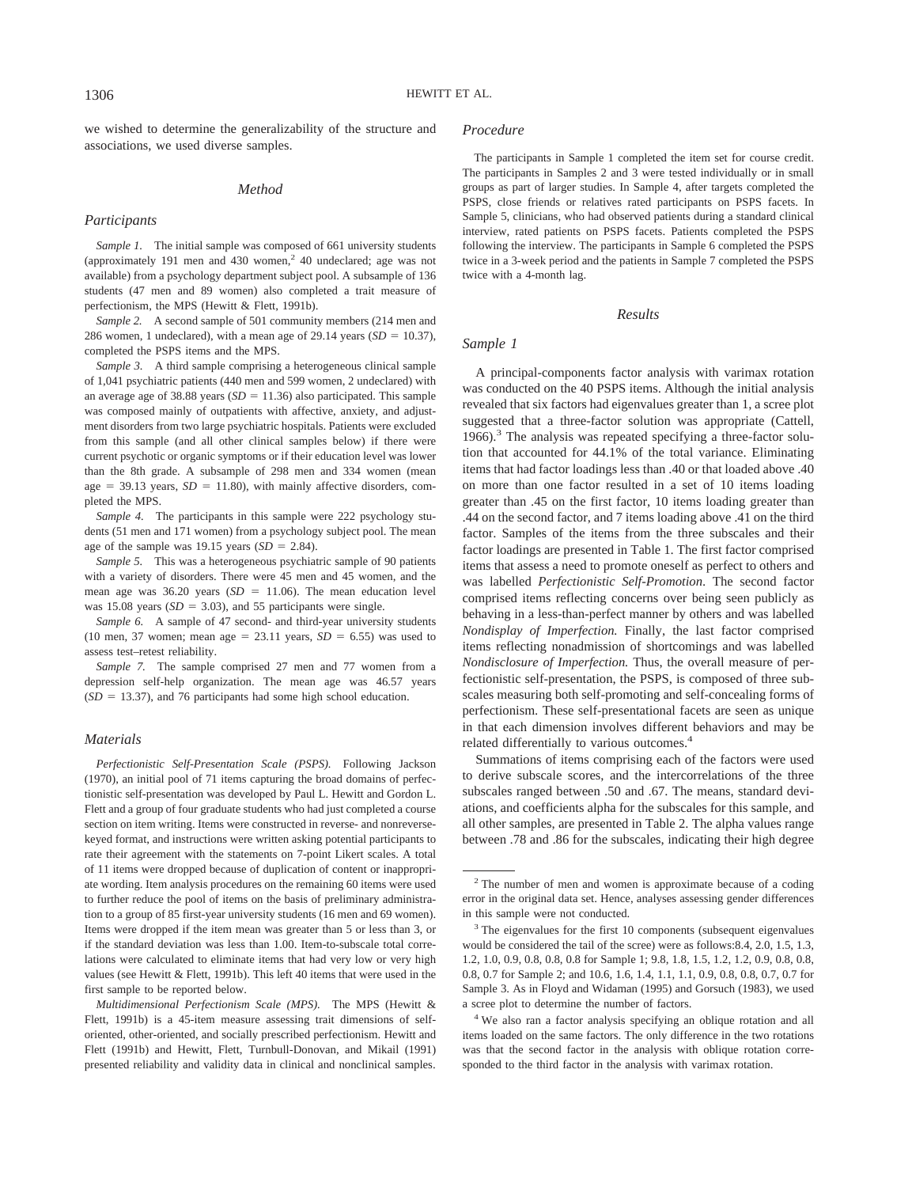we wished to determine the generalizability of the structure and associations, we used diverse samples.

## *Method*

## *Participants*

*Sample 1.* The initial sample was composed of 661 university students (approximately 191 men and 430 women, $2$  40 undeclared; age was not available) from a psychology department subject pool. A subsample of 136 students (47 men and 89 women) also completed a trait measure of perfectionism, the MPS (Hewitt & Flett, 1991b).

*Sample 2.* A second sample of 501 community members (214 men and 286 women, 1 undeclared), with a mean age of 29.14 years  $(SD = 10.37)$ , completed the PSPS items and the MPS.

*Sample 3.* A third sample comprising a heterogeneous clinical sample of 1,041 psychiatric patients (440 men and 599 women, 2 undeclared) with an average age of 38.88 years  $(SD = 11.36)$  also participated. This sample was composed mainly of outpatients with affective, anxiety, and adjustment disorders from two large psychiatric hospitals. Patients were excluded from this sample (and all other clinical samples below) if there were current psychotic or organic symptoms or if their education level was lower than the 8th grade. A subsample of 298 men and 334 women (mean age  $=$  39.13 years,  $SD = 11.80$ ), with mainly affective disorders, completed the MPS.

*Sample 4.* The participants in this sample were 222 psychology students (51 men and 171 women) from a psychology subject pool. The mean age of the sample was 19.15 years  $(SD = 2.84)$ .

*Sample 5.* This was a heterogeneous psychiatric sample of 90 patients with a variety of disorders. There were 45 men and 45 women, and the mean age was  $36.20$  years  $(SD = 11.06)$ . The mean education level was 15.08 years  $(SD = 3.03)$ , and 55 participants were single.

*Sample 6.* A sample of 47 second- and third-year university students (10 men, 37 women; mean age  $= 23.11$  years,  $SD = 6.55$ ) was used to assess test–retest reliability.

*Sample 7.* The sample comprised 27 men and 77 women from a depression self-help organization. The mean age was 46.57 years  $(SD = 13.37)$ , and 76 participants had some high school education.

#### *Materials*

*Perfectionistic Self-Presentation Scale (PSPS).* Following Jackson (1970), an initial pool of 71 items capturing the broad domains of perfectionistic self-presentation was developed by Paul L. Hewitt and Gordon L. Flett and a group of four graduate students who had just completed a course section on item writing. Items were constructed in reverse- and nonreversekeyed format, and instructions were written asking potential participants to rate their agreement with the statements on 7-point Likert scales. A total of 11 items were dropped because of duplication of content or inappropriate wording. Item analysis procedures on the remaining 60 items were used to further reduce the pool of items on the basis of preliminary administration to a group of 85 first-year university students (16 men and 69 women). Items were dropped if the item mean was greater than 5 or less than 3, or if the standard deviation was less than 1.00. Item-to-subscale total correlations were calculated to eliminate items that had very low or very high values (see Hewitt & Flett, 1991b). This left 40 items that were used in the first sample to be reported below.

#### *Procedure*

The participants in Sample 1 completed the item set for course credit. The participants in Samples 2 and 3 were tested individually or in small groups as part of larger studies. In Sample 4, after targets completed the PSPS, close friends or relatives rated participants on PSPS facets. In Sample 5, clinicians, who had observed patients during a standard clinical interview, rated patients on PSPS facets. Patients completed the PSPS following the interview. The participants in Sample 6 completed the PSPS twice in a 3-week period and the patients in Sample 7 completed the PSPS twice with a 4-month lag.

#### *Results*

# *Sample 1*

A principal-components factor analysis with varimax rotation was conducted on the 40 PSPS items. Although the initial analysis revealed that six factors had eigenvalues greater than 1, a scree plot suggested that a three-factor solution was appropriate (Cattell,  $1966$ .<sup>3</sup> The analysis was repeated specifying a three-factor solution that accounted for 44.1% of the total variance. Eliminating items that had factor loadings less than .40 or that loaded above .40 on more than one factor resulted in a set of 10 items loading greater than .45 on the first factor, 10 items loading greater than .44 on the second factor, and 7 items loading above .41 on the third factor. Samples of the items from the three subscales and their factor loadings are presented in Table 1. The first factor comprised items that assess a need to promote oneself as perfect to others and was labelled *Perfectionistic Self-Promotion*. The second factor comprised items reflecting concerns over being seen publicly as behaving in a less-than-perfect manner by others and was labelled *Nondisplay of Imperfection.* Finally, the last factor comprised items reflecting nonadmission of shortcomings and was labelled *Nondisclosure of Imperfection.* Thus, the overall measure of perfectionistic self-presentation, the PSPS, is composed of three subscales measuring both self-promoting and self-concealing forms of perfectionism. These self-presentational facets are seen as unique in that each dimension involves different behaviors and may be related differentially to various outcomes.<sup>4</sup>

Summations of items comprising each of the factors were used to derive subscale scores, and the intercorrelations of the three subscales ranged between .50 and .67. The means, standard deviations, and coefficients alpha for the subscales for this sample, and all other samples, are presented in Table 2. The alpha values range between .78 and .86 for the subscales, indicating their high degree

*Multidimensional Perfectionism Scale (MPS).* The MPS (Hewitt & Flett, 1991b) is a 45-item measure assessing trait dimensions of selforiented, other-oriented, and socially prescribed perfectionism. Hewitt and Flett (1991b) and Hewitt, Flett, Turnbull-Donovan, and Mikail (1991) presented reliability and validity data in clinical and nonclinical samples.

<sup>2</sup> The number of men and women is approximate because of a coding error in the original data set. Hence, analyses assessing gender differences in this sample were not conducted.

 $3$  The eigenvalues for the first 10 components (subsequent eigenvalues would be considered the tail of the scree) were as follows:8.4, 2.0, 1.5, 1.3, 1.2, 1.0, 0.9, 0.8, 0.8, 0.8 for Sample 1; 9.8, 1.8, 1.5, 1.2, 1.2, 0.9, 0.8, 0.8, 0.8, 0.7 for Sample 2; and 10.6, 1.6, 1.4, 1.1, 1.1, 0.9, 0.8, 0.8, 0.7, 0.7 for Sample 3. As in Floyd and Widaman (1995) and Gorsuch (1983), we used a scree plot to determine the number of factors.

<sup>4</sup> We also ran a factor analysis specifying an oblique rotation and all items loaded on the same factors. The only difference in the two rotations was that the second factor in the analysis with oblique rotation corresponded to the third factor in the analysis with varimax rotation.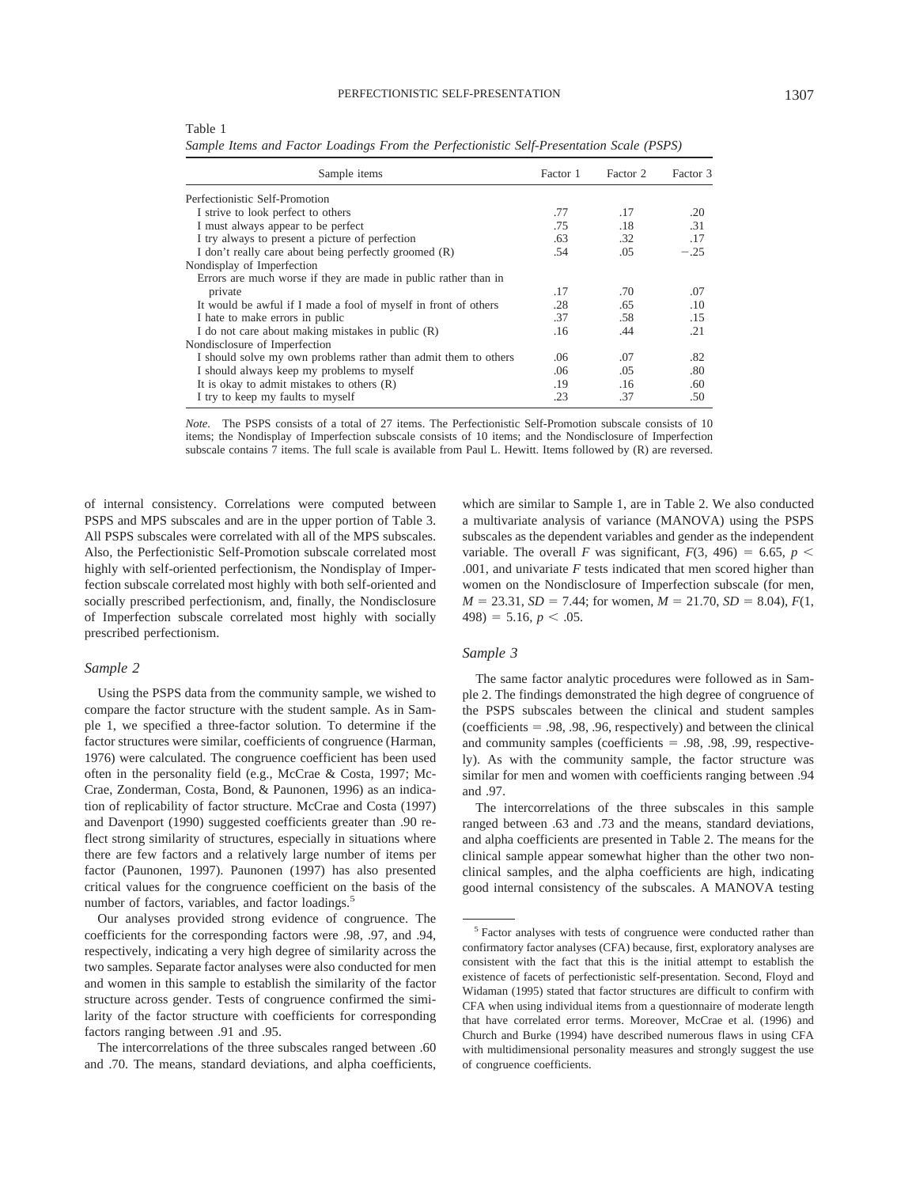| Sample items                                                    | Factor 1 | Factor 2 | Factor 3 |
|-----------------------------------------------------------------|----------|----------|----------|
| Perfectionistic Self-Promotion                                  |          |          |          |
| I strive to look perfect to others                              | .77      | .17      | .20      |
| I must always appear to be perfect                              | .75      | .18      | .31      |
| I try always to present a picture of perfection                 | .63      | .32      | .17      |
| I don't really care about being perfectly groomed (R)           | .54      | .05      | $-.25$   |
| Nondisplay of Imperfection                                      |          |          |          |
| Errors are much worse if they are made in public rather than in |          |          |          |
| private                                                         | .17      | .70      | .07      |
| It would be awful if I made a fool of myself in front of others | .28      | .65      | .10      |
| I hate to make errors in public                                 | .37      | .58      | .15      |
| I do not care about making mistakes in public (R)               | .16      | .44      | .21      |
| Nondisclosure of Imperfection                                   |          |          |          |
| I should solve my own problems rather than admit them to others | .06      | .07      | .82      |
| I should always keep my problems to myself                      | .06      | .05      | .80      |
| It is okay to admit mistakes to others $(R)$                    | .19      | .16      | .60      |
| I try to keep my faults to myself                               | .23      | .37      | .50      |

Table 1 *Sample Items and Factor Loadings From the Perfectionistic Self-Presentation Scale (PSPS)*

*Note.* The PSPS consists of a total of 27 items. The Perfectionistic Self-Promotion subscale consists of 10 items; the Nondisplay of Imperfection subscale consists of 10 items; and the Nondisclosure of Imperfection subscale contains 7 items. The full scale is available from Paul L. Hewitt. Items followed by (R) are reversed.

of internal consistency. Correlations were computed between PSPS and MPS subscales and are in the upper portion of Table 3. All PSPS subscales were correlated with all of the MPS subscales. Also, the Perfectionistic Self-Promotion subscale correlated most highly with self-oriented perfectionism, the Nondisplay of Imperfection subscale correlated most highly with both self-oriented and socially prescribed perfectionism, and, finally, the Nondisclosure of Imperfection subscale correlated most highly with socially prescribed perfectionism.

## *Sample 2*

Using the PSPS data from the community sample, we wished to compare the factor structure with the student sample. As in Sample 1, we specified a three-factor solution. To determine if the factor structures were similar, coefficients of congruence (Harman, 1976) were calculated. The congruence coefficient has been used often in the personality field (e.g., McCrae & Costa, 1997; Mc-Crae, Zonderman, Costa, Bond, & Paunonen, 1996) as an indication of replicability of factor structure. McCrae and Costa (1997) and Davenport (1990) suggested coefficients greater than .90 reflect strong similarity of structures, especially in situations where there are few factors and a relatively large number of items per factor (Paunonen, 1997). Paunonen (1997) has also presented critical values for the congruence coefficient on the basis of the number of factors, variables, and factor loadings.<sup>5</sup>

Our analyses provided strong evidence of congruence. The coefficients for the corresponding factors were .98, .97, and .94, respectively, indicating a very high degree of similarity across the two samples. Separate factor analyses were also conducted for men and women in this sample to establish the similarity of the factor structure across gender. Tests of congruence confirmed the similarity of the factor structure with coefficients for corresponding factors ranging between .91 and .95.

The intercorrelations of the three subscales ranged between .60 and .70. The means, standard deviations, and alpha coefficients,

which are similar to Sample 1, are in Table 2. We also conducted a multivariate analysis of variance (MANOVA) using the PSPS subscales as the dependent variables and gender as the independent variable. The overall *F* was significant,  $F(3, 496) = 6.65$ ,  $p <$ .001, and univariate  $F$  tests indicated that men scored higher than women on the Nondisclosure of Imperfection subscale (for men,  $M = 23.31$ ,  $SD = 7.44$ ; for women,  $M = 21.70$ ,  $SD = 8.04$ ),  $F(1,$  $(498) = 5.16, p < .05.$ 

## *Sample 3*

The same factor analytic procedures were followed as in Sample 2. The findings demonstrated the high degree of congruence of the PSPS subscales between the clinical and student samples (coefficients  $= .98, .98, .96$ , respectively) and between the clinical and community samples (coefficients  $= .98, .98, .99,$  respectively). As with the community sample, the factor structure was similar for men and women with coefficients ranging between .94 and .97.

The intercorrelations of the three subscales in this sample ranged between .63 and .73 and the means, standard deviations, and alpha coefficients are presented in Table 2. The means for the clinical sample appear somewhat higher than the other two nonclinical samples, and the alpha coefficients are high, indicating good internal consistency of the subscales. A MANOVA testing

<sup>5</sup> Factor analyses with tests of congruence were conducted rather than confirmatory factor analyses (CFA) because, first, exploratory analyses are consistent with the fact that this is the initial attempt to establish the existence of facets of perfectionistic self-presentation. Second, Floyd and Widaman (1995) stated that factor structures are difficult to confirm with CFA when using individual items from a questionnaire of moderate length that have correlated error terms. Moreover, McCrae et al. (1996) and Church and Burke (1994) have described numerous flaws in using CFA with multidimensional personality measures and strongly suggest the use of congruence coefficients.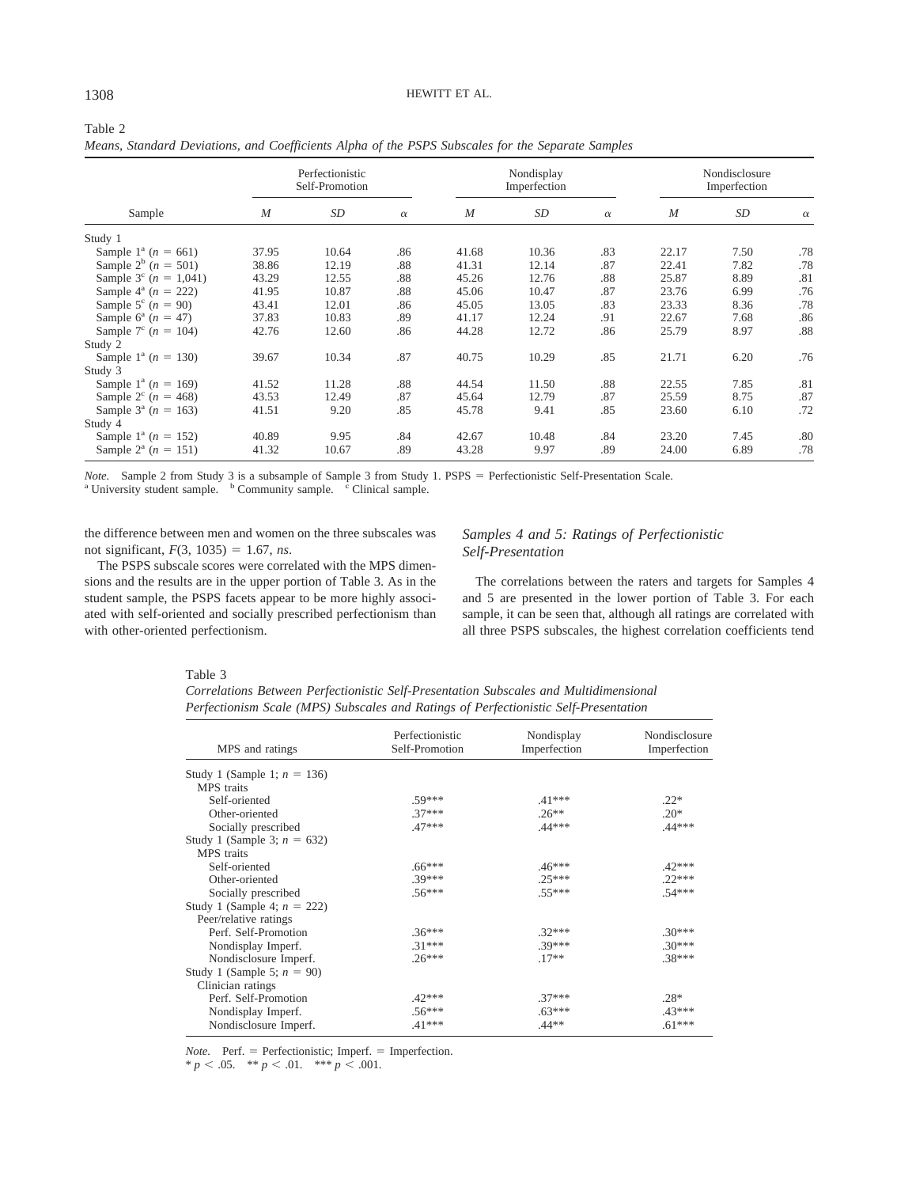|                                     |                  | Perfectionistic<br>Self-Promotion |          | Nondisplay<br>Imperfection |       |          | Nondisclosure<br>Imperfection |      |          |
|-------------------------------------|------------------|-----------------------------------|----------|----------------------------|-------|----------|-------------------------------|------|----------|
| Sample                              | $\boldsymbol{M}$ | SD                                | $\alpha$ | $\boldsymbol{M}$           | SD    | $\alpha$ | $\boldsymbol{M}$              | SD   | $\alpha$ |
| Study 1                             |                  |                                   |          |                            |       |          |                               |      |          |
| Sample 1 <sup>a</sup> ( $n = 661$ ) | 37.95            | 10.64                             | .86      | 41.68                      | 10.36 | .83      | 22.17                         | 7.50 | .78      |
| Sample $2^b$ ( <i>n</i> = 501)      | 38.86            | 12.19                             | .88      | 41.31                      | 12.14 | .87      | 22.41                         | 7.82 | .78      |
| Sample $3^c$ ( $n = 1,041$ )        | 43.29            | 12.55                             | .88      | 45.26                      | 12.76 | .88      | 25.87                         | 8.89 | .81      |
| Sample $4^a$ ( $n = 222$ )          | 41.95            | 10.87                             | .88      | 45.06                      | 10.47 | .87      | 23.76                         | 6.99 | .76      |
| Sample $5^{\circ}$ ( <i>n</i> = 90) | 43.41            | 12.01                             | .86      | 45.05                      | 13.05 | .83      | 23.33                         | 8.36 | .78      |
| Sample $6^a$ ( <i>n</i> = 47)       | 37.83            | 10.83                             | .89      | 41.17                      | 12.24 | .91      | 22.67                         | 7.68 | .86      |
| Sample 7 <sup>c</sup> $(n = 104)$   | 42.76            | 12.60                             | .86      | 44.28                      | 12.72 | .86      | 25.79                         | 8.97 | .88      |
| Study 2                             |                  |                                   |          |                            |       |          |                               |      |          |
| Sample $1^a$ ( $n = 130$ )          | 39.67            | 10.34                             | .87      | 40.75                      | 10.29 | .85      | 21.71                         | 6.20 | .76      |
| Study 3                             |                  |                                   |          |                            |       |          |                               |      |          |
| Sample 1 <sup>a</sup> ( $n = 169$ ) | 41.52            | 11.28                             | .88      | 44.54                      | 11.50 | .88      | 22.55                         | 7.85 | .81      |
| Sample $2^{c}$ ( <i>n</i> = 468)    | 43.53            | 12.49                             | .87      | 45.64                      | 12.79 | .87      | 25.59                         | 8.75 | .87      |
| Sample $3^a$ ( <i>n</i> = 163)      | 41.51            | 9.20                              | .85      | 45.78                      | 9.41  | .85      | 23.60                         | 6.10 | .72      |
| Study 4                             |                  |                                   |          |                            |       |          |                               |      |          |
| Sample $1^a$ ( <i>n</i> = 152)      | 40.89            | 9.95                              | .84      | 42.67                      | 10.48 | .84      | 23.20                         | 7.45 | .80      |
| Sample $2^a$ ( <i>n</i> = 151)      | 41.32            | 10.67                             | .89      | 43.28                      | 9.97  | .89      | 24.00                         | 6.89 | .78      |

Table 2 *Means, Standard Deviations, and Coefficients Alpha of the PSPS Subscales for the Separate Samples*

*Note.* Sample 2 from Study 3 is a subsample of Sample 3 from Study 1. PSPS = Perfectionistic Self-Presentation Scale. <sup>a</sup> University student sample. b Community sample. <sup>c</sup> Clinical sample.

the difference between men and women on the three subscales was not significant,  $F(3, 1035) = 1.67$ , *ns*.

The PSPS subscale scores were correlated with the MPS dimensions and the results are in the upper portion of Table 3. As in the student sample, the PSPS facets appear to be more highly associated with self-oriented and socially prescribed perfectionism than with other-oriented perfectionism.

# *Samples 4 and 5: Ratings of Perfectionistic Self-Presentation*

The correlations between the raters and targets for Samples 4 and 5 are presented in the lower portion of Table 3. For each sample, it can be seen that, although all ratings are correlated with all three PSPS subscales, the highest correlation coefficients tend

#### Table 3

*Correlations Between Perfectionistic Self-Presentation Subscales and Multidimensional Perfectionism Scale (MPS) Subscales and Ratings of Perfectionistic Self-Presentation*

| MPS and ratings                | Perfectionistic<br>Self-Promotion | Nondisplay<br>Imperfection | Nondisclosure<br>Imperfection |
|--------------------------------|-----------------------------------|----------------------------|-------------------------------|
| Study 1 (Sample 1; $n = 136$ ) |                                   |                            |                               |
| MPS traits                     |                                   |                            |                               |
| Self-oriented                  | .59***                            | $.41***$                   | $.22*$                        |
| Other-oriented                 | $.37***$                          | $.26***$                   | $.20*$                        |
| Socially prescribed            | $.47***$                          | $.44***$                   | $.44***$                      |
| Study 1 (Sample 3; $n = 632$ ) |                                   |                            |                               |
| MPS traits                     |                                   |                            |                               |
| Self-oriented                  | $.66***$                          | $.46***$                   | $.42***$                      |
| Other-oriented                 | .39***                            | $.25***$                   | $22***$                       |
| Socially prescribed            | $.56***$                          | $.55***$                   | 54 ***                        |
| Study 1 (Sample 4; $n = 222$ ) |                                   |                            |                               |
| Peer/relative ratings          |                                   |                            |                               |
| Perf. Self-Promotion           | $.36***$                          | $.32***$                   | $.30***$                      |
| Nondisplay Imperf.             | $.31***$                          | .39***                     | $.30***$                      |
| Nondisclosure Imperf.          | $.26***$                          | $.17**$                    | $.38***$                      |
| Study 1 (Sample 5; $n = 90$ )  |                                   |                            |                               |
| Clinician ratings              |                                   |                            |                               |
| Perf. Self-Promotion           | $.42***$                          | $.37***$                   | $.28*$                        |
| Nondisplay Imperf.             | $.56***$                          | $.63***$                   | $.43***$                      |
| Nondisclosure Imperf.          | $.41***$                          | $.44**$                    | $.61***$                      |

*Note.* Perf. = Perfectionistic; Imperf. = Imperfection.

 $* p < .05.$   $* p < .01.$   $* \cdot p < .001.$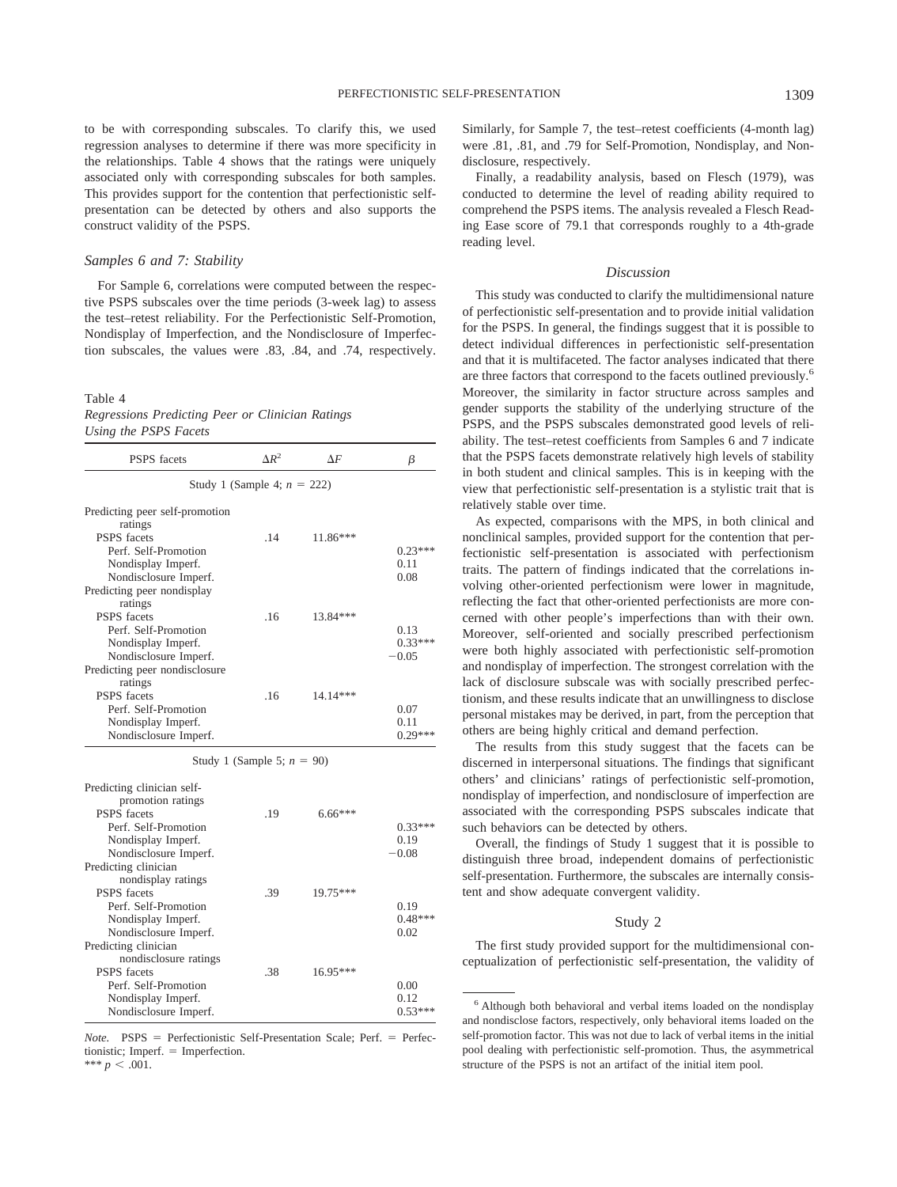to be with corresponding subscales. To clarify this, we used regression analyses to determine if there was more specificity in the relationships. Table 4 shows that the ratings were uniquely associated only with corresponding subscales for both samples. This provides support for the contention that perfectionistic selfpresentation can be detected by others and also supports the construct validity of the PSPS.

#### *Samples 6 and 7: Stability*

For Sample 6, correlations were computed between the respective PSPS subscales over the time periods (3-week lag) to assess the test–retest reliability. For the Perfectionistic Self-Promotion, Nondisplay of Imperfection, and the Nondisclosure of Imperfection subscales, the values were .83, .84, and .74, respectively.

Table 4 *Regressions Predicting Peer or Clinician Ratings Using the PSPS Facets*

| <b>PSPS</b> facets                        | $\Delta R^2$ | $\Delta F$ | β         |
|-------------------------------------------|--------------|------------|-----------|
| Study 1 (Sample 4; $n = 222$ )            |              |            |           |
| Predicting peer self-promotion<br>ratings |              |            |           |
| PSPS facets                               | .14          | 11.86***   |           |
| Perf. Self-Promotion                      |              |            | $0.23***$ |
| Nondisplay Imperf.                        |              |            | 0.11      |
| Nondisclosure Imperf.                     |              |            | 0.08      |
| Predicting peer nondisplay                |              |            |           |
| ratings                                   |              |            |           |
| <b>PSPS</b> facets                        | .16          | 13.84***   |           |
| Perf. Self-Promotion                      |              |            | 0.13      |
| Nondisplay Imperf.                        |              |            | $0.33***$ |
| Nondisclosure Imperf.                     |              |            | $-0.05$   |
| Predicting peer nondisclosure<br>ratings  |              |            |           |
| <b>PSPS</b> facets                        | .16          | 14.14***   |           |
| Perf. Self-Promotion                      |              |            | 0.07      |
| Nondisplay Imperf.                        |              |            | 0.11      |
| Nondisclosure Imperf.                     |              |            | $0.29***$ |
| Study 1 (Sample 5; $n = 90$ )             |              |            |           |
| Predicting clinician self-                |              |            |           |
| promotion ratings                         |              |            |           |
| <b>PSPS</b> facets                        | .19          | $6.66***$  |           |
| Perf. Self-Promotion                      |              |            | $0.33***$ |
| Nondisplay Imperf.                        |              |            | 0.19      |
| Nondisclosure Imperf.                     |              |            | $-0.08$   |
| Predicting clinician                      |              |            |           |
| nondisplay ratings                        |              |            |           |
| <b>PSPS</b> facets                        | .39          | 19.75***   |           |
| Perf. Self-Promotion                      |              |            | 0.19      |
| Nondisplay Imperf.                        |              |            | $0.48***$ |
| Nondisclosure Imperf.                     |              |            | 0.02      |
| Predicting clinician                      |              |            |           |
| nondisclosure ratings                     |              |            |           |
| <b>PSPS</b> facets                        | .38          | 16.95***   |           |
| Perf. Self-Promotion                      |              |            | 0.00      |
| Nondisplay Imperf.                        |              |            | 0.12      |
| Nondisclosure Imperf.                     |              |            | $0.53***$ |

*Note.* PSPS = Perfectionistic Self-Presentation Scale; Perf. = Perfectionistic; Imperf.  $=$  Imperfection.

 $*** p < .001$ .

Similarly, for Sample 7, the test–retest coefficients (4-month lag) were .81, .81, and .79 for Self-Promotion, Nondisplay, and Nondisclosure, respectively.

Finally, a readability analysis, based on Flesch (1979), was conducted to determine the level of reading ability required to comprehend the PSPS items. The analysis revealed a Flesch Reading Ease score of 79.1 that corresponds roughly to a 4th-grade reading level.

#### *Discussion*

This study was conducted to clarify the multidimensional nature of perfectionistic self-presentation and to provide initial validation for the PSPS. In general, the findings suggest that it is possible to detect individual differences in perfectionistic self-presentation and that it is multifaceted. The factor analyses indicated that there are three factors that correspond to the facets outlined previously.<sup>6</sup> Moreover, the similarity in factor structure across samples and gender supports the stability of the underlying structure of the PSPS, and the PSPS subscales demonstrated good levels of reliability. The test–retest coefficients from Samples 6 and 7 indicate that the PSPS facets demonstrate relatively high levels of stability in both student and clinical samples. This is in keeping with the view that perfectionistic self-presentation is a stylistic trait that is relatively stable over time.

As expected, comparisons with the MPS, in both clinical and nonclinical samples, provided support for the contention that perfectionistic self-presentation is associated with perfectionism traits. The pattern of findings indicated that the correlations involving other-oriented perfectionism were lower in magnitude, reflecting the fact that other-oriented perfectionists are more concerned with other people's imperfections than with their own. Moreover, self-oriented and socially prescribed perfectionism were both highly associated with perfectionistic self-promotion and nondisplay of imperfection. The strongest correlation with the lack of disclosure subscale was with socially prescribed perfectionism, and these results indicate that an unwillingness to disclose personal mistakes may be derived, in part, from the perception that others are being highly critical and demand perfection.

The results from this study suggest that the facets can be discerned in interpersonal situations. The findings that significant others' and clinicians' ratings of perfectionistic self-promotion, nondisplay of imperfection, and nondisclosure of imperfection are associated with the corresponding PSPS subscales indicate that such behaviors can be detected by others.

Overall, the findings of Study 1 suggest that it is possible to distinguish three broad, independent domains of perfectionistic self-presentation. Furthermore, the subscales are internally consistent and show adequate convergent validity.

## Study 2

The first study provided support for the multidimensional conceptualization of perfectionistic self-presentation, the validity of

<sup>6</sup> Although both behavioral and verbal items loaded on the nondisplay and nondisclose factors, respectively, only behavioral items loaded on the self-promotion factor. This was not due to lack of verbal items in the initial pool dealing with perfectionistic self-promotion. Thus, the asymmetrical structure of the PSPS is not an artifact of the initial item pool.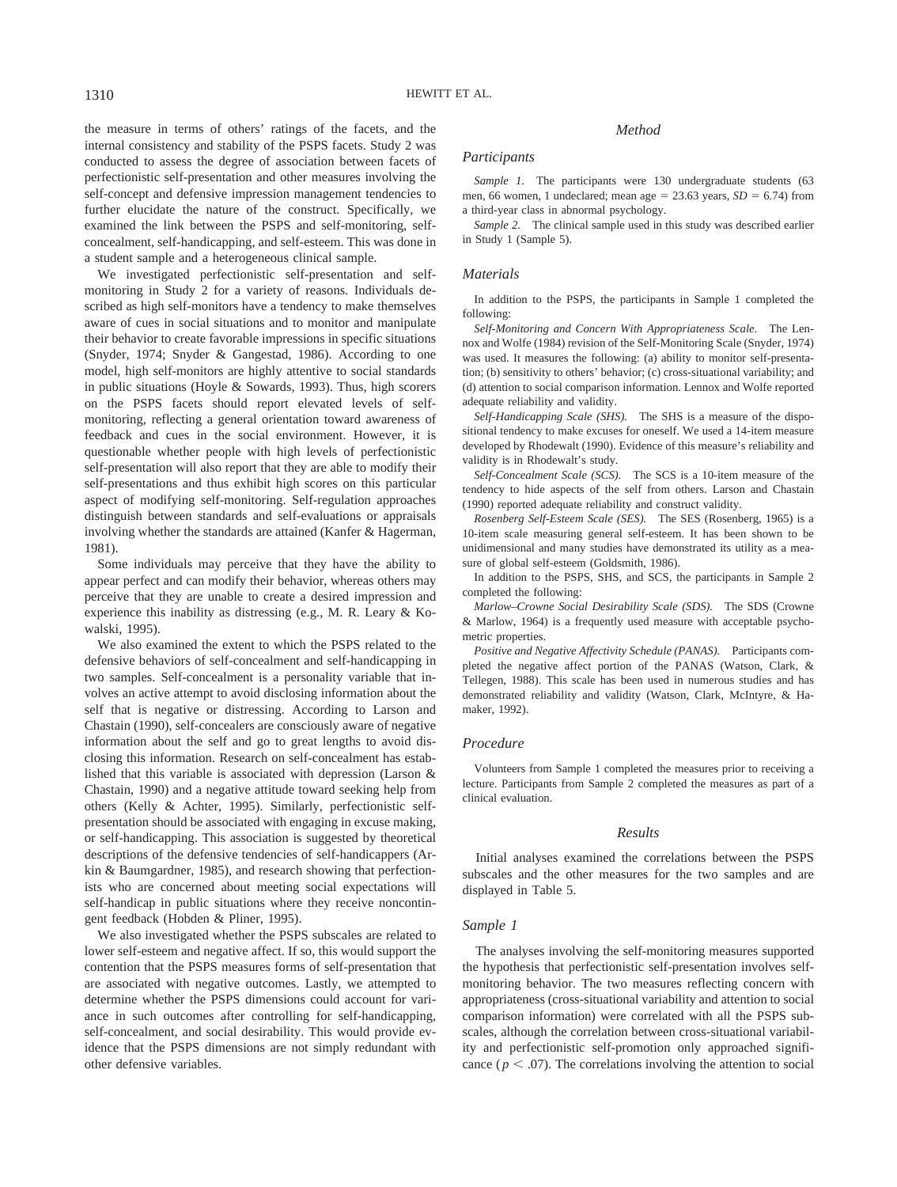the measure in terms of others' ratings of the facets, and the internal consistency and stability of the PSPS facets. Study 2 was conducted to assess the degree of association between facets of perfectionistic self-presentation and other measures involving the self-concept and defensive impression management tendencies to further elucidate the nature of the construct. Specifically, we examined the link between the PSPS and self-monitoring, selfconcealment, self-handicapping, and self-esteem. This was done in a student sample and a heterogeneous clinical sample.

We investigated perfectionistic self-presentation and selfmonitoring in Study 2 for a variety of reasons. Individuals described as high self-monitors have a tendency to make themselves aware of cues in social situations and to monitor and manipulate their behavior to create favorable impressions in specific situations (Snyder, 1974; Snyder & Gangestad, 1986). According to one model, high self-monitors are highly attentive to social standards in public situations (Hoyle & Sowards, 1993). Thus, high scorers on the PSPS facets should report elevated levels of selfmonitoring, reflecting a general orientation toward awareness of feedback and cues in the social environment. However, it is questionable whether people with high levels of perfectionistic self-presentation will also report that they are able to modify their self-presentations and thus exhibit high scores on this particular aspect of modifying self-monitoring. Self-regulation approaches distinguish between standards and self-evaluations or appraisals involving whether the standards are attained (Kanfer & Hagerman, 1981).

Some individuals may perceive that they have the ability to appear perfect and can modify their behavior, whereas others may perceive that they are unable to create a desired impression and experience this inability as distressing (e.g., M. R. Leary & Kowalski, 1995).

We also examined the extent to which the PSPS related to the defensive behaviors of self-concealment and self-handicapping in two samples. Self-concealment is a personality variable that involves an active attempt to avoid disclosing information about the self that is negative or distressing. According to Larson and Chastain (1990), self-concealers are consciously aware of negative information about the self and go to great lengths to avoid disclosing this information. Research on self-concealment has established that this variable is associated with depression (Larson & Chastain, 1990) and a negative attitude toward seeking help from others (Kelly & Achter, 1995). Similarly, perfectionistic selfpresentation should be associated with engaging in excuse making, or self-handicapping. This association is suggested by theoretical descriptions of the defensive tendencies of self-handicappers (Arkin & Baumgardner, 1985), and research showing that perfectionists who are concerned about meeting social expectations will self-handicap in public situations where they receive noncontingent feedback (Hobden & Pliner, 1995).

We also investigated whether the PSPS subscales are related to lower self-esteem and negative affect. If so, this would support the contention that the PSPS measures forms of self-presentation that are associated with negative outcomes. Lastly, we attempted to determine whether the PSPS dimensions could account for variance in such outcomes after controlling for self-handicapping, self-concealment, and social desirability. This would provide evidence that the PSPS dimensions are not simply redundant with other defensive variables.

#### *Method*

#### *Participants*

*Sample 1.* The participants were 130 undergraduate students (63 men, 66 women, 1 undeclared; mean age  $= 23.63$  years,  $SD = 6.74$ ) from a third-year class in abnormal psychology.

*Sample 2.* The clinical sample used in this study was described earlier in Study 1 (Sample 5).

# *Materials*

In addition to the PSPS, the participants in Sample 1 completed the following:

*Self-Monitoring and Concern With Appropriateness Scale.* The Lennox and Wolfe (1984) revision of the Self-Monitoring Scale (Snyder, 1974) was used. It measures the following: (a) ability to monitor self-presentation; (b) sensitivity to others' behavior; (c) cross-situational variability; and (d) attention to social comparison information. Lennox and Wolfe reported adequate reliability and validity.

*Self-Handicapping Scale (SHS).* The SHS is a measure of the dispositional tendency to make excuses for oneself. We used a 14-item measure developed by Rhodewalt (1990). Evidence of this measure's reliability and validity is in Rhodewalt's study.

*Self-Concealment Scale (SCS).* The SCS is a 10-item measure of the tendency to hide aspects of the self from others. Larson and Chastain (1990) reported adequate reliability and construct validity.

*Rosenberg Self-Esteem Scale (SES).* The SES (Rosenberg, 1965) is a 10-item scale measuring general self-esteem. It has been shown to be unidimensional and many studies have demonstrated its utility as a measure of global self-esteem (Goldsmith, 1986).

In addition to the PSPS, SHS, and SCS, the participants in Sample 2 completed the following:

*Marlow–Crowne Social Desirability Scale (SDS).* The SDS (Crowne & Marlow, 1964) is a frequently used measure with acceptable psychometric properties.

*Positive and Negative Affectivity Schedule (PANAS).* Participants completed the negative affect portion of the PANAS (Watson, Clark, & Tellegen, 1988). This scale has been used in numerous studies and has demonstrated reliability and validity (Watson, Clark, McIntyre, & Hamaker, 1992).

#### *Procedure*

Volunteers from Sample 1 completed the measures prior to receiving a lecture. Participants from Sample 2 completed the measures as part of a clinical evaluation.

#### *Results*

Initial analyses examined the correlations between the PSPS subscales and the other measures for the two samples and are displayed in Table 5.

## *Sample 1*

The analyses involving the self-monitoring measures supported the hypothesis that perfectionistic self-presentation involves selfmonitoring behavior. The two measures reflecting concern with appropriateness (cross-situational variability and attention to social comparison information) were correlated with all the PSPS subscales, although the correlation between cross-situational variability and perfectionistic self-promotion only approached significance ( $p < .07$ ). The correlations involving the attention to social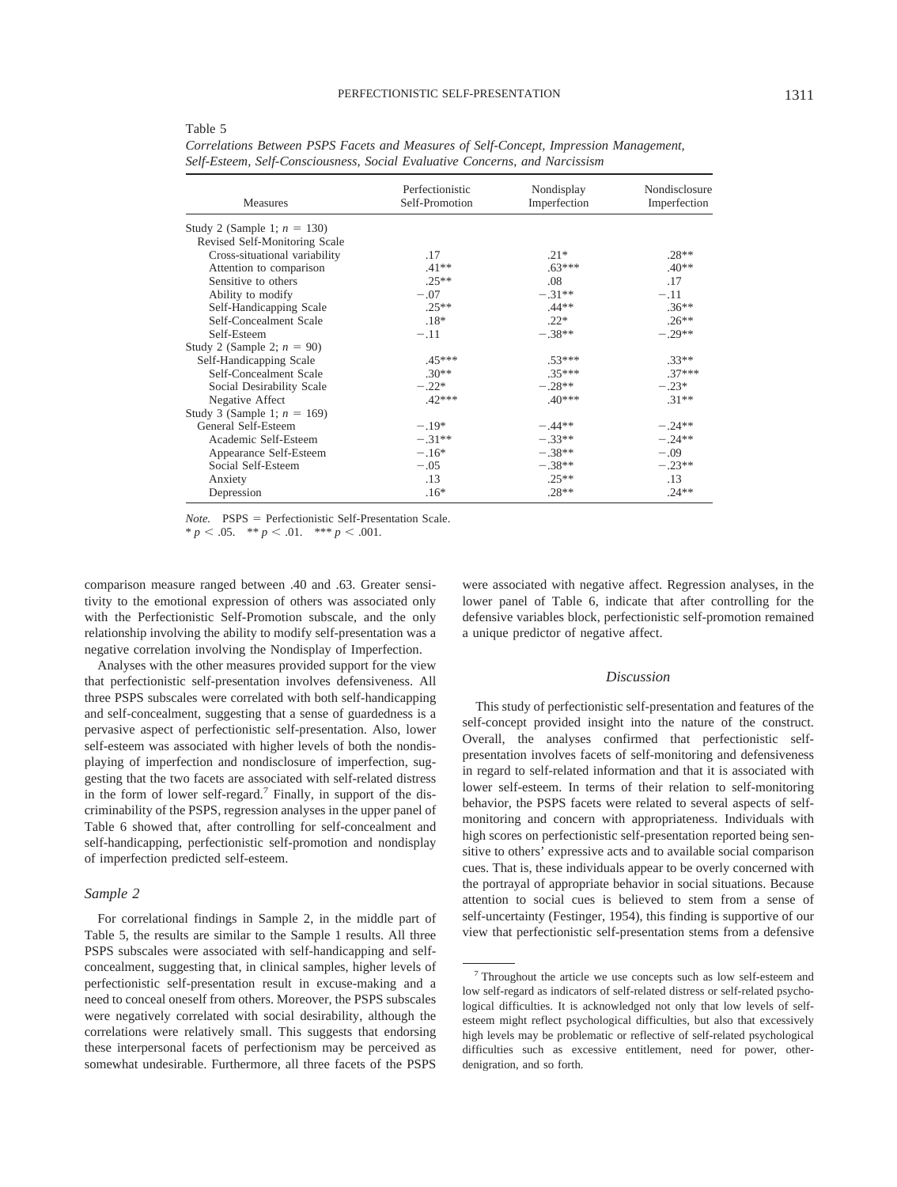|--|--|

| Measures                       | Perfectionistic<br>Self-Promotion | Nondisplay<br>Imperfection | Nondisclosure<br>Imperfection |
|--------------------------------|-----------------------------------|----------------------------|-------------------------------|
| Study 2 (Sample 1; $n = 130$ ) |                                   |                            |                               |
| Revised Self-Monitoring Scale  |                                   |                            |                               |
| Cross-situational variability  | .17                               | $.21*$                     | $.28**$                       |
| Attention to comparison        | $.41**$                           | $.63***$                   | $.40**$                       |
| Sensitive to others            | $.25***$                          | .08                        | .17                           |
| Ability to modify              | $-.07$                            | $-.31**$                   | $-.11$                        |
| Self-Handicapping Scale        | $.25***$                          | $.44**$                    | $.36***$                      |
| Self-Concealment Scale         | $.18*$                            | $.22*$                     | $26**$                        |
| Self-Esteem                    | $-.11$                            | $-.38**$                   | $-29**$                       |
| Study 2 (Sample 2; $n = 90$ )  |                                   |                            |                               |
| Self-Handicapping Scale        | $.45***$                          | $.53***$                   | $.33**$                       |
| Self-Concealment Scale         | $.30**$                           | $.35***$                   | $.37***$                      |
| Social Desirability Scale      | $-22*$                            | $-.28**$                   | $-.23*$                       |
| Negative Affect                | $.42***$                          | $.40***$                   | $.31**$                       |
| Study 3 (Sample 1; $n = 169$ ) |                                   |                            |                               |
| General Self-Esteem            | $-.19*$                           | $-.44**$                   | $-24**$                       |
| Academic Self-Esteem           | $-.31**$                          | $-.33**$                   | $-.24**$                      |
| Appearance Self-Esteem         | $-.16*$                           | $-.38**$                   | $-.09$                        |
| Social Self-Esteem             | $-.05$                            | $-.38**$                   | $-.23**$                      |
| Anxiety                        | .13                               | $.25***$                   | .13                           |
| Depression                     | $.16*$                            | $.28**$                    | $24**$                        |

*Correlations Between PSPS Facets and Measures of Self-Concept, Impression Management, Self-Esteem, Self-Consciousness, Social Evaluative Concerns, and Narcissism*

*Note.* PSPS = Perfectionistic Self-Presentation Scale.

 $* p < .05.$   $* p < .01.$   $* \cdot * p < .001.$ 

comparison measure ranged between .40 and .63. Greater sensitivity to the emotional expression of others was associated only with the Perfectionistic Self-Promotion subscale, and the only relationship involving the ability to modify self-presentation was a negative correlation involving the Nondisplay of Imperfection.

Analyses with the other measures provided support for the view that perfectionistic self-presentation involves defensiveness. All three PSPS subscales were correlated with both self-handicapping and self-concealment, suggesting that a sense of guardedness is a pervasive aspect of perfectionistic self-presentation. Also, lower self-esteem was associated with higher levels of both the nondisplaying of imperfection and nondisclosure of imperfection, suggesting that the two facets are associated with self-related distress in the form of lower self-regard.7 Finally, in support of the discriminability of the PSPS, regression analyses in the upper panel of Table 6 showed that, after controlling for self-concealment and self-handicapping, perfectionistic self-promotion and nondisplay of imperfection predicted self-esteem.

# *Sample 2*

For correlational findings in Sample 2, in the middle part of Table 5, the results are similar to the Sample 1 results. All three PSPS subscales were associated with self-handicapping and selfconcealment, suggesting that, in clinical samples, higher levels of perfectionistic self-presentation result in excuse-making and a need to conceal oneself from others. Moreover, the PSPS subscales were negatively correlated with social desirability, although the correlations were relatively small. This suggests that endorsing these interpersonal facets of perfectionism may be perceived as somewhat undesirable. Furthermore, all three facets of the PSPS were associated with negative affect. Regression analyses, in the lower panel of Table 6, indicate that after controlling for the defensive variables block, perfectionistic self-promotion remained a unique predictor of negative affect.

#### *Discussion*

This study of perfectionistic self-presentation and features of the self-concept provided insight into the nature of the construct. Overall, the analyses confirmed that perfectionistic selfpresentation involves facets of self-monitoring and defensiveness in regard to self-related information and that it is associated with lower self-esteem. In terms of their relation to self-monitoring behavior, the PSPS facets were related to several aspects of selfmonitoring and concern with appropriateness. Individuals with high scores on perfectionistic self-presentation reported being sensitive to others' expressive acts and to available social comparison cues. That is, these individuals appear to be overly concerned with the portrayal of appropriate behavior in social situations. Because attention to social cues is believed to stem from a sense of self-uncertainty (Festinger, 1954), this finding is supportive of our view that perfectionistic self-presentation stems from a defensive

<sup>7</sup> Throughout the article we use concepts such as low self-esteem and low self-regard as indicators of self-related distress or self-related psychological difficulties. It is acknowledged not only that low levels of selfesteem might reflect psychological difficulties, but also that excessively high levels may be problematic or reflective of self-related psychological difficulties such as excessive entitlement, need for power, otherdenigration, and so forth.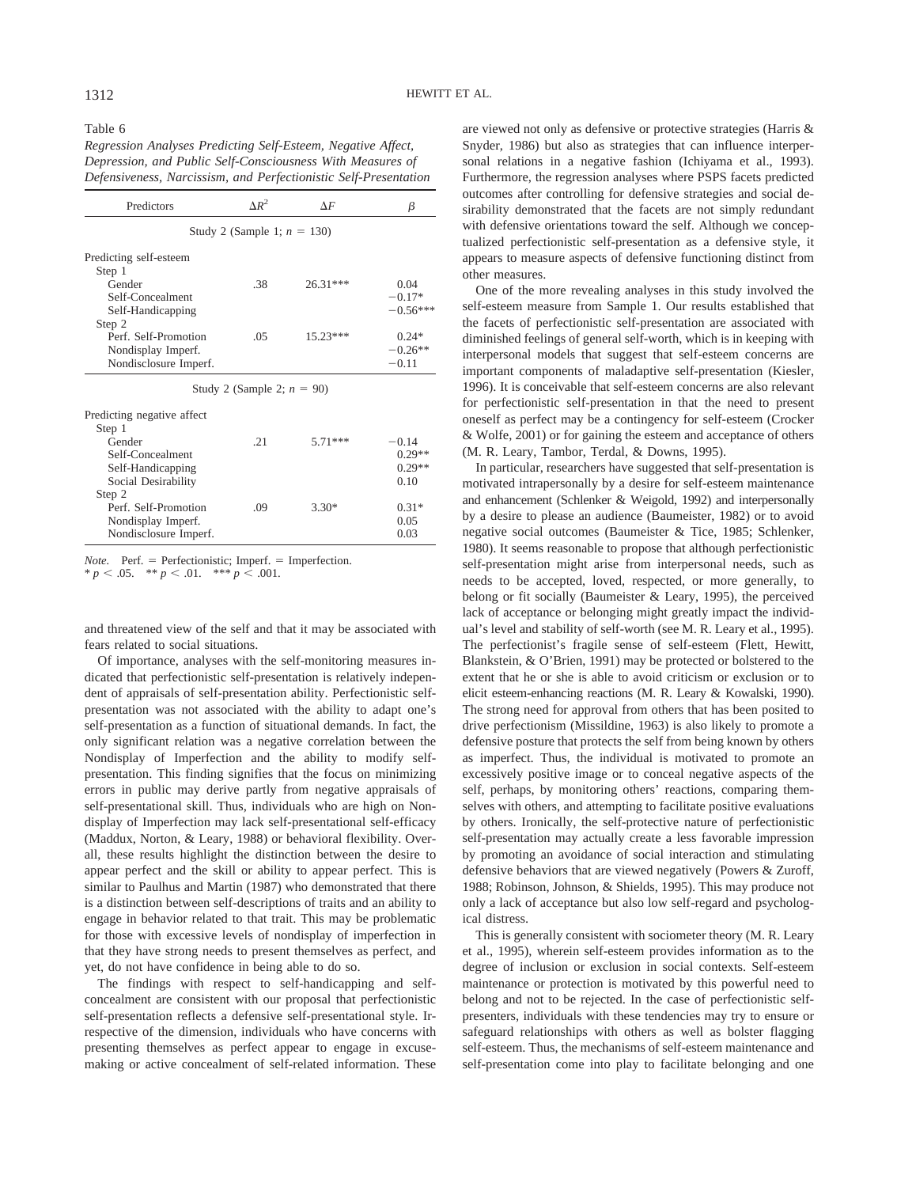Table 6

*Regression Analyses Predicting Self-Esteem, Negative Affect, Depression, and Public Self-Consciousness With Measures of Defensiveness, Narcissism, and Perfectionistic Self-Presentation*

| Predictors                           | $\Lambda R^2$                  | ΛF         | β          |
|--------------------------------------|--------------------------------|------------|------------|
|                                      | Study 2 (Sample 1; $n = 130$ ) |            |            |
| Predicting self-esteem<br>Step 1     |                                |            |            |
| Gender                               | .38                            | $26.31***$ | 0.04       |
| Self-Concealment                     |                                |            | $-0.17*$   |
| Self-Handicapping                    |                                |            | $-0.56***$ |
| Step 2                               |                                |            |            |
| Perf. Self-Promotion                 | .05                            | $15.23***$ | $0.24*$    |
| Nondisplay Imperf.                   |                                |            | $-0.26**$  |
| Nondisclosure Imperf.                |                                |            | $-0.11$    |
|                                      | Study 2 (Sample 2; $n = 90$ )  |            |            |
| Predicting negative affect<br>Step 1 |                                |            |            |

| Gender                | -21 | $5.71***$ | $-0.14$  |
|-----------------------|-----|-----------|----------|
| Self-Concealment      |     |           | $0.29**$ |
| Self-Handicapping     |     |           | $0.29**$ |
| Social Desirability   |     |           | 0.10     |
| Step 2                |     |           |          |
| Perf. Self-Promotion  | .09 | $3.30*$   | $0.31*$  |
| Nondisplay Imperf.    |     |           | 0.05     |
| Nondisclosure Imperf. |     |           | 0.03     |
|                       |     |           |          |

*Note.* Perf. = Perfectionistic; Imperf. = Imperfection.

 $* p < .05.$   $* p < .01.$   $* \cdot * p < .001.$ 

and threatened view of the self and that it may be associated with fears related to social situations.

Of importance, analyses with the self-monitoring measures indicated that perfectionistic self-presentation is relatively independent of appraisals of self-presentation ability. Perfectionistic selfpresentation was not associated with the ability to adapt one's self-presentation as a function of situational demands. In fact, the only significant relation was a negative correlation between the Nondisplay of Imperfection and the ability to modify selfpresentation. This finding signifies that the focus on minimizing errors in public may derive partly from negative appraisals of self-presentational skill. Thus, individuals who are high on Nondisplay of Imperfection may lack self-presentational self-efficacy (Maddux, Norton, & Leary, 1988) or behavioral flexibility. Overall, these results highlight the distinction between the desire to appear perfect and the skill or ability to appear perfect. This is similar to Paulhus and Martin (1987) who demonstrated that there is a distinction between self-descriptions of traits and an ability to engage in behavior related to that trait. This may be problematic for those with excessive levels of nondisplay of imperfection in that they have strong needs to present themselves as perfect, and yet, do not have confidence in being able to do so.

The findings with respect to self-handicapping and selfconcealment are consistent with our proposal that perfectionistic self-presentation reflects a defensive self-presentational style. Irrespective of the dimension, individuals who have concerns with presenting themselves as perfect appear to engage in excusemaking or active concealment of self-related information. These are viewed not only as defensive or protective strategies (Harris & Snyder, 1986) but also as strategies that can influence interpersonal relations in a negative fashion (Ichiyama et al., 1993). Furthermore, the regression analyses where PSPS facets predicted outcomes after controlling for defensive strategies and social desirability demonstrated that the facets are not simply redundant with defensive orientations toward the self. Although we conceptualized perfectionistic self-presentation as a defensive style, it appears to measure aspects of defensive functioning distinct from other measures.

One of the more revealing analyses in this study involved the self-esteem measure from Sample 1. Our results established that the facets of perfectionistic self-presentation are associated with diminished feelings of general self-worth, which is in keeping with interpersonal models that suggest that self-esteem concerns are important components of maladaptive self-presentation (Kiesler, 1996). It is conceivable that self-esteem concerns are also relevant for perfectionistic self-presentation in that the need to present oneself as perfect may be a contingency for self-esteem (Crocker & Wolfe, 2001) or for gaining the esteem and acceptance of others (M. R. Leary, Tambor, Terdal, & Downs, 1995).

In particular, researchers have suggested that self-presentation is motivated intrapersonally by a desire for self-esteem maintenance and enhancement (Schlenker & Weigold, 1992) and interpersonally by a desire to please an audience (Baumeister, 1982) or to avoid negative social outcomes (Baumeister & Tice, 1985; Schlenker, 1980). It seems reasonable to propose that although perfectionistic self-presentation might arise from interpersonal needs, such as needs to be accepted, loved, respected, or more generally, to belong or fit socially (Baumeister & Leary, 1995), the perceived lack of acceptance or belonging might greatly impact the individual's level and stability of self-worth (see M. R. Leary et al., 1995). The perfectionist's fragile sense of self-esteem (Flett, Hewitt, Blankstein, & O'Brien, 1991) may be protected or bolstered to the extent that he or she is able to avoid criticism or exclusion or to elicit esteem-enhancing reactions (M. R. Leary & Kowalski, 1990). The strong need for approval from others that has been posited to drive perfectionism (Missildine, 1963) is also likely to promote a defensive posture that protects the self from being known by others as imperfect. Thus, the individual is motivated to promote an excessively positive image or to conceal negative aspects of the self, perhaps, by monitoring others' reactions, comparing themselves with others, and attempting to facilitate positive evaluations by others. Ironically, the self-protective nature of perfectionistic self-presentation may actually create a less favorable impression by promoting an avoidance of social interaction and stimulating defensive behaviors that are viewed negatively (Powers & Zuroff, 1988; Robinson, Johnson, & Shields, 1995). This may produce not only a lack of acceptance but also low self-regard and psychological distress.

This is generally consistent with sociometer theory (M. R. Leary et al., 1995), wherein self-esteem provides information as to the degree of inclusion or exclusion in social contexts. Self-esteem maintenance or protection is motivated by this powerful need to belong and not to be rejected. In the case of perfectionistic selfpresenters, individuals with these tendencies may try to ensure or safeguard relationships with others as well as bolster flagging self-esteem. Thus, the mechanisms of self-esteem maintenance and self-presentation come into play to facilitate belonging and one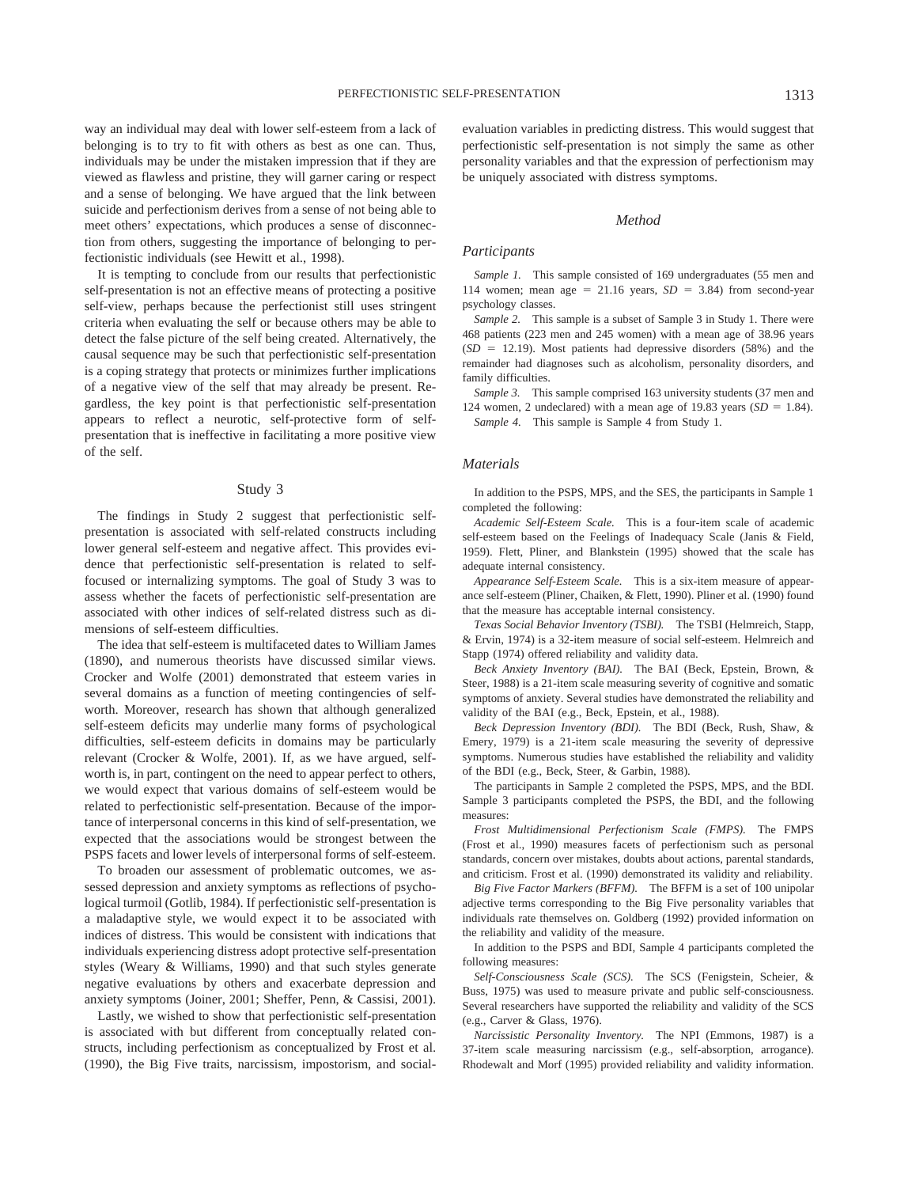way an individual may deal with lower self-esteem from a lack of belonging is to try to fit with others as best as one can. Thus, individuals may be under the mistaken impression that if they are viewed as flawless and pristine, they will garner caring or respect and a sense of belonging. We have argued that the link between suicide and perfectionism derives from a sense of not being able to meet others' expectations, which produces a sense of disconnection from others, suggesting the importance of belonging to perfectionistic individuals (see Hewitt et al., 1998).

It is tempting to conclude from our results that perfectionistic self-presentation is not an effective means of protecting a positive self-view, perhaps because the perfectionist still uses stringent criteria when evaluating the self or because others may be able to detect the false picture of the self being created. Alternatively, the causal sequence may be such that perfectionistic self-presentation is a coping strategy that protects or minimizes further implications of a negative view of the self that may already be present. Regardless, the key point is that perfectionistic self-presentation appears to reflect a neurotic, self-protective form of selfpresentation that is ineffective in facilitating a more positive view of the self.

## Study 3

The findings in Study 2 suggest that perfectionistic selfpresentation is associated with self-related constructs including lower general self-esteem and negative affect. This provides evidence that perfectionistic self-presentation is related to selffocused or internalizing symptoms. The goal of Study 3 was to assess whether the facets of perfectionistic self-presentation are associated with other indices of self-related distress such as dimensions of self-esteem difficulties.

The idea that self-esteem is multifaceted dates to William James (1890), and numerous theorists have discussed similar views. Crocker and Wolfe (2001) demonstrated that esteem varies in several domains as a function of meeting contingencies of selfworth. Moreover, research has shown that although generalized self-esteem deficits may underlie many forms of psychological difficulties, self-esteem deficits in domains may be particularly relevant (Crocker & Wolfe, 2001). If, as we have argued, selfworth is, in part, contingent on the need to appear perfect to others, we would expect that various domains of self-esteem would be related to perfectionistic self-presentation. Because of the importance of interpersonal concerns in this kind of self-presentation, we expected that the associations would be strongest between the PSPS facets and lower levels of interpersonal forms of self-esteem.

To broaden our assessment of problematic outcomes, we assessed depression and anxiety symptoms as reflections of psychological turmoil (Gotlib, 1984). If perfectionistic self-presentation is a maladaptive style, we would expect it to be associated with indices of distress. This would be consistent with indications that individuals experiencing distress adopt protective self-presentation styles (Weary & Williams, 1990) and that such styles generate negative evaluations by others and exacerbate depression and anxiety symptoms (Joiner, 2001; Sheffer, Penn, & Cassisi, 2001).

Lastly, we wished to show that perfectionistic self-presentation is associated with but different from conceptually related constructs, including perfectionism as conceptualized by Frost et al. (1990), the Big Five traits, narcissism, impostorism, and socialevaluation variables in predicting distress. This would suggest that perfectionistic self-presentation is not simply the same as other personality variables and that the expression of perfectionism may be uniquely associated with distress symptoms.

## *Method*

#### *Participants*

*Sample 1.* This sample consisted of 169 undergraduates (55 men and 114 women; mean age  $= 21.16$  years,  $SD = 3.84$ ) from second-year psychology classes.

*Sample 2.* This sample is a subset of Sample 3 in Study 1. There were 468 patients (223 men and 245 women) with a mean age of 38.96 years  $(SD = 12.19)$ . Most patients had depressive disorders (58%) and the remainder had diagnoses such as alcoholism, personality disorders, and family difficulties.

*Sample 3.* This sample comprised 163 university students (37 men and 124 women, 2 undeclared) with a mean age of 19.83 years  $(SD = 1.84)$ . *Sample 4.* This sample is Sample 4 from Study 1.

## *Materials*

In addition to the PSPS, MPS, and the SES, the participants in Sample 1 completed the following:

*Academic Self-Esteem Scale.* This is a four-item scale of academic self-esteem based on the Feelings of Inadequacy Scale (Janis & Field, 1959). Flett, Pliner, and Blankstein (1995) showed that the scale has adequate internal consistency.

*Appearance Self-Esteem Scale.* This is a six-item measure of appearance self-esteem (Pliner, Chaiken, & Flett, 1990). Pliner et al. (1990) found that the measure has acceptable internal consistency.

*Texas Social Behavior Inventory (TSBI).* The TSBI (Helmreich, Stapp, & Ervin, 1974) is a 32-item measure of social self-esteem. Helmreich and Stapp (1974) offered reliability and validity data.

*Beck Anxiety Inventory (BAI).* The BAI (Beck, Epstein, Brown, & Steer, 1988) is a 21-item scale measuring severity of cognitive and somatic symptoms of anxiety. Several studies have demonstrated the reliability and validity of the BAI (e.g., Beck, Epstein, et al., 1988).

*Beck Depression Inventory (BDI).* The BDI (Beck, Rush, Shaw, & Emery, 1979) is a 21-item scale measuring the severity of depressive symptoms. Numerous studies have established the reliability and validity of the BDI (e.g., Beck, Steer, & Garbin, 1988).

The participants in Sample 2 completed the PSPS, MPS, and the BDI. Sample 3 participants completed the PSPS, the BDI, and the following measures:

*Frost Multidimensional Perfectionism Scale (FMPS).* The FMPS (Frost et al., 1990) measures facets of perfectionism such as personal standards, concern over mistakes, doubts about actions, parental standards, and criticism. Frost et al. (1990) demonstrated its validity and reliability.

*Big Five Factor Markers (BFFM).* The BFFM is a set of 100 unipolar adjective terms corresponding to the Big Five personality variables that individuals rate themselves on. Goldberg (1992) provided information on the reliability and validity of the measure.

In addition to the PSPS and BDI, Sample 4 participants completed the following measures:

*Self-Consciousness Scale (SCS).* The SCS (Fenigstein, Scheier, & Buss, 1975) was used to measure private and public self-consciousness. Several researchers have supported the reliability and validity of the SCS (e.g., Carver & Glass, 1976).

*Narcissistic Personality Inventory.* The NPI (Emmons, 1987) is a 37-item scale measuring narcissism (e.g., self-absorption, arrogance). Rhodewalt and Morf (1995) provided reliability and validity information.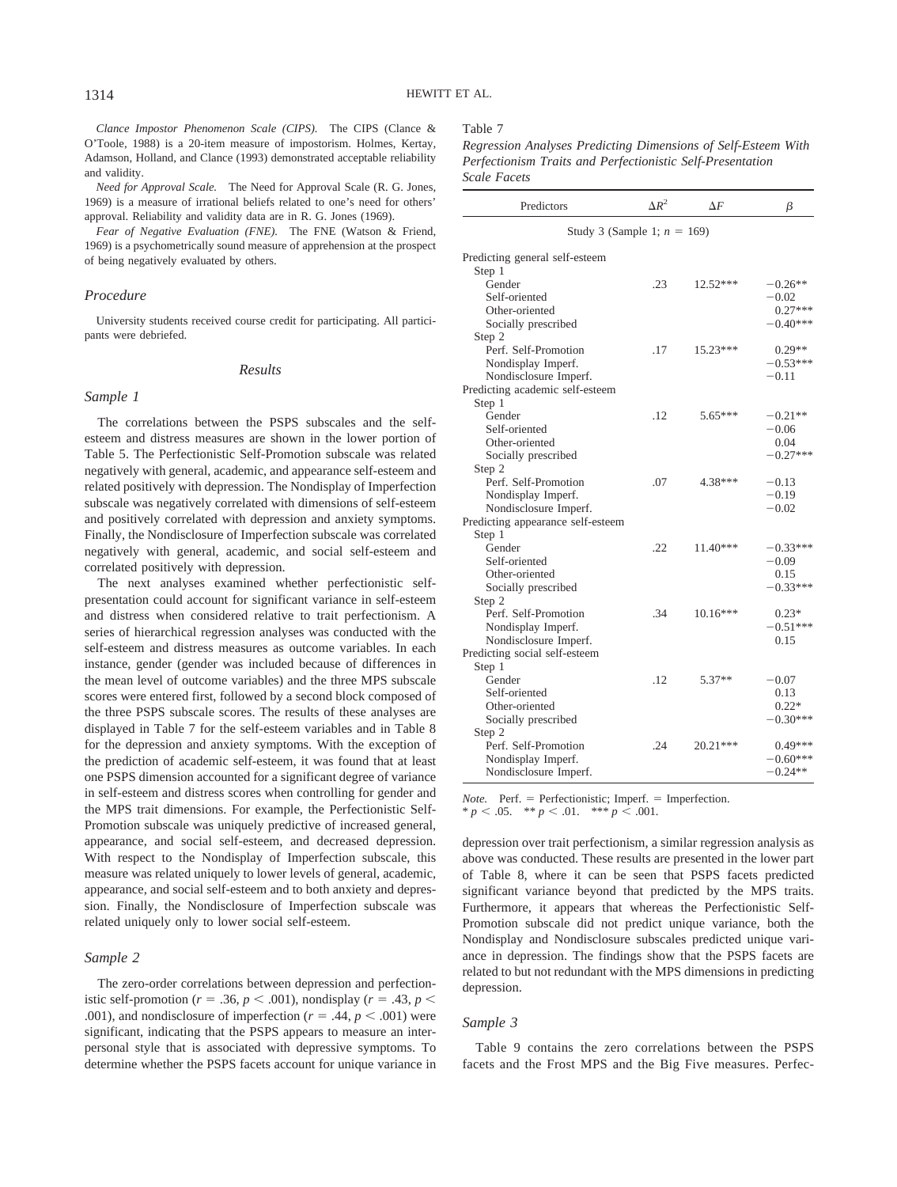*Clance Impostor Phenomenon Scale (CIPS).* The CIPS (Clance & O'Toole, 1988) is a 20-item measure of impostorism. Holmes, Kertay, Adamson, Holland, and Clance (1993) demonstrated acceptable reliability and validity.

*Need for Approval Scale.* The Need for Approval Scale (R. G. Jones, 1969) is a measure of irrational beliefs related to one's need for others' approval. Reliability and validity data are in R. G. Jones (1969).

*Fear of Negative Evaluation (FNE).* The FNE (Watson & Friend, 1969) is a psychometrically sound measure of apprehension at the prospect of being negatively evaluated by others.

## *Procedure*

University students received course credit for participating. All participants were debriefed.

#### *Results*

## *Sample 1*

The correlations between the PSPS subscales and the selfesteem and distress measures are shown in the lower portion of Table 5. The Perfectionistic Self-Promotion subscale was related negatively with general, academic, and appearance self-esteem and related positively with depression. The Nondisplay of Imperfection subscale was negatively correlated with dimensions of self-esteem and positively correlated with depression and anxiety symptoms. Finally, the Nondisclosure of Imperfection subscale was correlated negatively with general, academic, and social self-esteem and correlated positively with depression.

The next analyses examined whether perfectionistic selfpresentation could account for significant variance in self-esteem and distress when considered relative to trait perfectionism. A series of hierarchical regression analyses was conducted with the self-esteem and distress measures as outcome variables. In each instance, gender (gender was included because of differences in the mean level of outcome variables) and the three MPS subscale scores were entered first, followed by a second block composed of the three PSPS subscale scores. The results of these analyses are displayed in Table 7 for the self-esteem variables and in Table 8 for the depression and anxiety symptoms. With the exception of the prediction of academic self-esteem, it was found that at least one PSPS dimension accounted for a significant degree of variance in self-esteem and distress scores when controlling for gender and the MPS trait dimensions. For example, the Perfectionistic Self-Promotion subscale was uniquely predictive of increased general, appearance, and social self-esteem, and decreased depression. With respect to the Nondisplay of Imperfection subscale, this measure was related uniquely to lower levels of general, academic, appearance, and social self-esteem and to both anxiety and depression. Finally, the Nondisclosure of Imperfection subscale was related uniquely only to lower social self-esteem.

# *Sample 2*

The zero-order correlations between depression and perfectionistic self-promotion ( $r = .36$ ,  $p < .001$ ), nondisplay ( $r = .43$ ,  $p <$ .001), and nondisclosure of imperfection ( $r = .44$ ,  $p < .001$ ) were significant, indicating that the PSPS appears to measure an interpersonal style that is associated with depressive symptoms. To determine whether the PSPS facets account for unique variance in

#### Table 7

*Regression Analyses Predicting Dimensions of Self-Esteem With Perfectionism Traits and Perfectionistic Self-Presentation Scale Facets*

| Predictors                                                                                                         | $\Delta R^2$                   | ΔF         | β                                               |
|--------------------------------------------------------------------------------------------------------------------|--------------------------------|------------|-------------------------------------------------|
|                                                                                                                    | Study 3 (Sample 1; $n = 169$ ) |            |                                                 |
| Predicting general self-esteem                                                                                     |                                |            |                                                 |
| Step 1<br>Gender<br>Self-oriented<br>Other-oriented<br>Socially prescribed                                         | .23                            | 12.52***   | $-0.26**$<br>$-0.02$<br>$0.27***$<br>$-0.40***$ |
| Step 2<br>Perf. Self-Promotion<br>Nondisplay Imperf.<br>Nondisclosure Imperf.<br>Predicting academic self-esteem   | .17                            | $15.23***$ | $0.29**$<br>$-0.53***$<br>$-0.11$               |
| Step 1<br>Gender<br>Self-oriented<br>Other-oriented<br>Socially prescribed                                         | .12                            | 5.65***    | $-0.21**$<br>$-0.06$<br>0.04<br>$-0.27***$      |
| Step 2<br>Perf. Self-Promotion<br>Nondisplay Imperf.<br>Nondisclosure Imperf.<br>Predicting appearance self-esteem | .07                            | 4.38***    | $-0.13$<br>$-0.19$<br>$-0.02$                   |
| Step 1<br>Gender<br>Self-oriented<br>Other-oriented<br>Socially prescribed                                         | .22                            | 11.40***   | $-0.33***$<br>$-0.09$<br>0.15<br>$-0.33***$     |
| Step 2<br>Perf. Self-Promotion<br>Nondisplay Imperf.<br>Nondisclosure Imperf.<br>Predicting social self-esteem     | .34                            | $10.16***$ | $0.23*$<br>$-0.51***$<br>0.15                   |
| Step 1<br>Gender<br>Self-oriented<br>Other-oriented<br>Socially prescribed                                         | .12                            | 5.37**     | $-0.07$<br>0.13<br>$0.22*$<br>$-0.30***$        |
| Step 2<br>Perf. Self-Promotion<br>Nondisplay Imperf.<br>Nondisclosure Imperf.                                      | .24                            | $20.21***$ | $0.49***$<br>$-0.60***$<br>$-0.24**$            |

*Note.* Perf.  $=$  Perfectionistic; Imperf.  $=$  Imperfection.  $* p < .05.$   $* p < .01.$   $* \cdot p < .001.$ 

depression over trait perfectionism, a similar regression analysis as above was conducted. These results are presented in the lower part of Table 8, where it can be seen that PSPS facets predicted significant variance beyond that predicted by the MPS traits. Furthermore, it appears that whereas the Perfectionistic Self-Promotion subscale did not predict unique variance, both the Nondisplay and Nondisclosure subscales predicted unique variance in depression. The findings show that the PSPS facets are related to but not redundant with the MPS dimensions in predicting depression.

## *Sample 3*

Table 9 contains the zero correlations between the PSPS facets and the Frost MPS and the Big Five measures. Perfec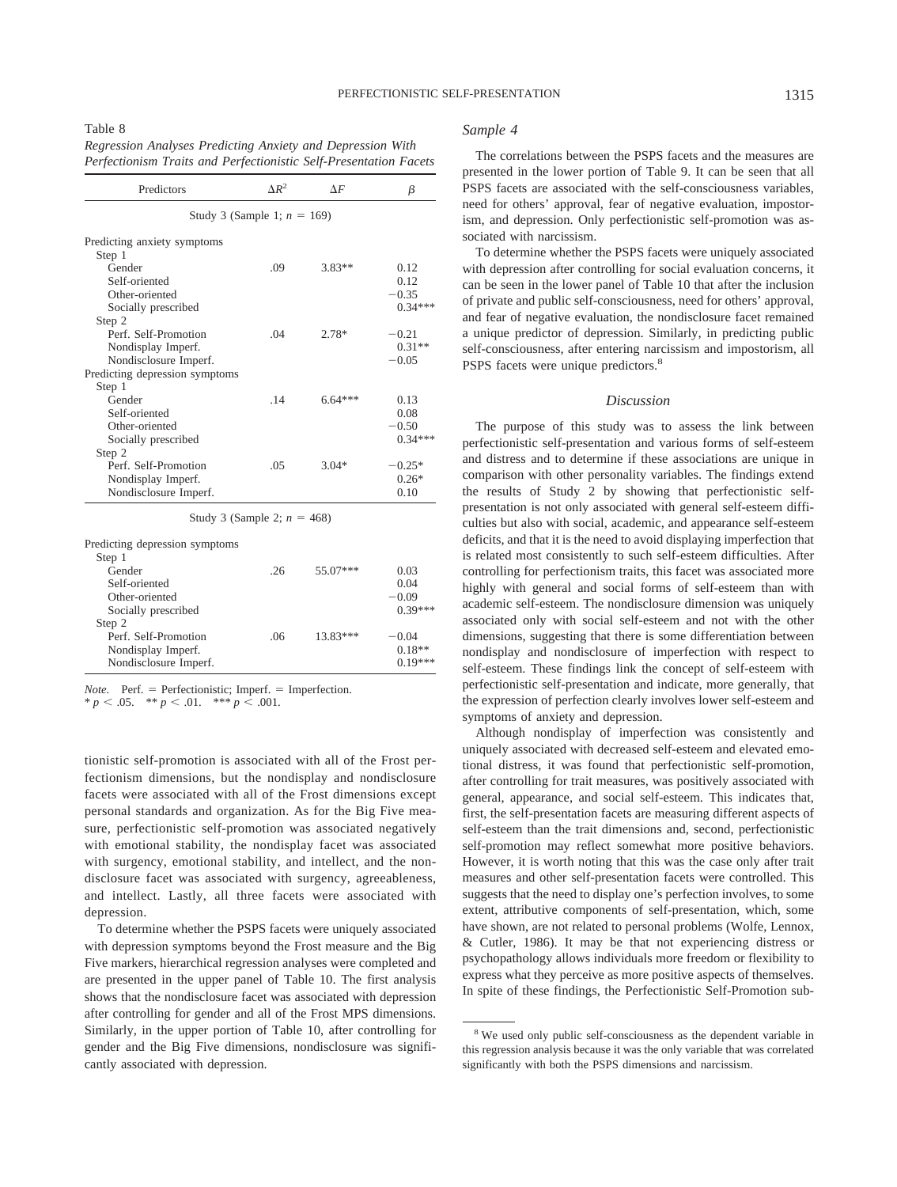Table 8 *Regression Analyses Predicting Anxiety and Depression With Perfectionism Traits and Perfectionistic Self-Presentation Facets*

| Predictors                     | $\Delta R^2$                   | $\Delta F$ | β         |
|--------------------------------|--------------------------------|------------|-----------|
|                                | Study 3 (Sample 1; $n = 169$ ) |            |           |
| Predicting anxiety symptoms    |                                |            |           |
| Step 1                         |                                |            |           |
| Gender                         | .09                            | $3.83**$   | 0.12      |
| Self-oriented                  |                                |            | 0.12      |
| Other-oriented                 |                                |            | $-0.35$   |
| Socially prescribed            |                                |            | $0.34***$ |
| Step 2                         |                                |            |           |
| Perf. Self-Promotion           | .04                            | $2.78*$    | $-0.21$   |
| Nondisplay Imperf.             |                                |            | $0.31**$  |
| Nondisclosure Imperf.          |                                |            | $-0.05$   |
| Predicting depression symptoms |                                |            |           |
| Step 1                         |                                |            |           |
| Gender                         | 14                             | $6.64***$  | 0.13      |
| Self-oriented                  |                                |            | 0.08      |
| Other-oriented                 |                                |            | $-0.50$   |
| Socially prescribed            |                                |            | $0.34***$ |
| Step 2                         |                                |            |           |
| Perf. Self-Promotion           | .05                            | $3.04*$    | $-0.25*$  |
| Nondisplay Imperf.             |                                |            | $0.26*$   |
| Nondisclosure Imperf.          |                                |            | 0.10      |

Predicting depression symptoms Step 1<br>Gender  $.26$  55.07\*\*\* 0.03<br>0.04 Self-oriented Other-oriented  $-0.09$ <br>Socially prescribed  $0.39***$ Socially prescribed Step 2 Perf. Self-Promotion .06 13.83\*\*\* -0.04 Nondisplay Imperf. 6.18\*\* 0.18\*\* 0.18\*\* 0.18\*\* Nondisclosure Imperf.

*Note.* Perf. = Perfectionistic; Imperf. = Imperfection.  $* p < .05.$   $* p < .01.$   $* \cdot p < .001.$ 

tionistic self-promotion is associated with all of the Frost perfectionism dimensions, but the nondisplay and nondisclosure facets were associated with all of the Frost dimensions except personal standards and organization. As for the Big Five measure, perfectionistic self-promotion was associated negatively with emotional stability, the nondisplay facet was associated with surgency, emotional stability, and intellect, and the nondisclosure facet was associated with surgency, agreeableness, and intellect. Lastly, all three facets were associated with depression.

To determine whether the PSPS facets were uniquely associated with depression symptoms beyond the Frost measure and the Big Five markers, hierarchical regression analyses were completed and are presented in the upper panel of Table 10. The first analysis shows that the nondisclosure facet was associated with depression after controlling for gender and all of the Frost MPS dimensions. Similarly, in the upper portion of Table 10, after controlling for gender and the Big Five dimensions, nondisclosure was significantly associated with depression.

## *Sample 4*

The correlations between the PSPS facets and the measures are presented in the lower portion of Table 9. It can be seen that all PSPS facets are associated with the self-consciousness variables, need for others' approval, fear of negative evaluation, impostorism, and depression. Only perfectionistic self-promotion was associated with narcissism.

To determine whether the PSPS facets were uniquely associated with depression after controlling for social evaluation concerns, it can be seen in the lower panel of Table 10 that after the inclusion of private and public self-consciousness, need for others' approval, and fear of negative evaluation, the nondisclosure facet remained a unique predictor of depression. Similarly, in predicting public self-consciousness, after entering narcissism and impostorism, all PSPS facets were unique predictors.<sup>8</sup>

# *Discussion*

The purpose of this study was to assess the link between perfectionistic self-presentation and various forms of self-esteem and distress and to determine if these associations are unique in comparison with other personality variables. The findings extend the results of Study 2 by showing that perfectionistic selfpresentation is not only associated with general self-esteem difficulties but also with social, academic, and appearance self-esteem deficits, and that it is the need to avoid displaying imperfection that is related most consistently to such self-esteem difficulties. After controlling for perfectionism traits, this facet was associated more highly with general and social forms of self-esteem than with academic self-esteem. The nondisclosure dimension was uniquely associated only with social self-esteem and not with the other dimensions, suggesting that there is some differentiation between nondisplay and nondisclosure of imperfection with respect to self-esteem. These findings link the concept of self-esteem with perfectionistic self-presentation and indicate, more generally, that the expression of perfection clearly involves lower self-esteem and symptoms of anxiety and depression.

Although nondisplay of imperfection was consistently and uniquely associated with decreased self-esteem and elevated emotional distress, it was found that perfectionistic self-promotion, after controlling for trait measures, was positively associated with general, appearance, and social self-esteem. This indicates that, first, the self-presentation facets are measuring different aspects of self-esteem than the trait dimensions and, second, perfectionistic self-promotion may reflect somewhat more positive behaviors. However, it is worth noting that this was the case only after trait measures and other self-presentation facets were controlled. This suggests that the need to display one's perfection involves, to some extent, attributive components of self-presentation, which, some have shown, are not related to personal problems (Wolfe, Lennox, & Cutler, 1986). It may be that not experiencing distress or psychopathology allows individuals more freedom or flexibility to express what they perceive as more positive aspects of themselves. In spite of these findings, the Perfectionistic Self-Promotion sub-

<sup>&</sup>lt;sup>8</sup> We used only public self-consciousness as the dependent variable in this regression analysis because it was the only variable that was correlated significantly with both the PSPS dimensions and narcissism.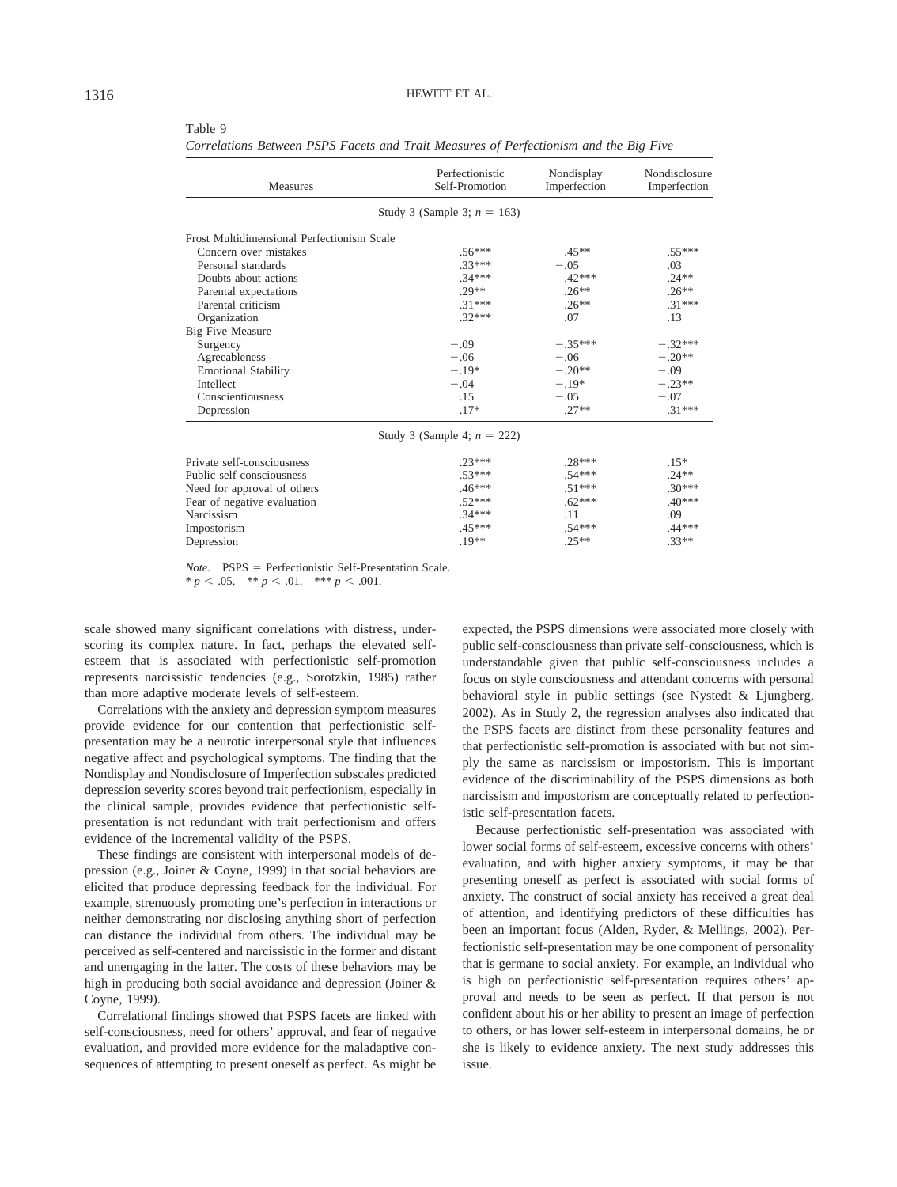#### Table 9

*Correlations Between PSPS Facets and Trait Measures of Perfectionism and the Big Five*

| <b>Measures</b>                            | Perfectionistic<br>Self-Promotion | Nondisplay<br>Imperfection | Nondisclosure<br>Imperfection |
|--------------------------------------------|-----------------------------------|----------------------------|-------------------------------|
|                                            | Study 3 (Sample 3; $n = 163$ )    |                            |                               |
| Frost Multidimensional Perfectionism Scale |                                   |                            |                               |
| Concern over mistakes                      | $.56***$                          | $.45**$                    | $.55***$                      |
| Personal standards                         | $.33***$                          | $-.05$                     | .03                           |
| Doubts about actions                       | $.34***$                          | $.42***$                   | $.24**$                       |
| Parental expectations                      | $.29**$                           | $.26**$                    | $.26**$                       |
| Parental criticism                         | $.31***$                          | $.26**$                    | $.31***$                      |
| Organization                               | $.32***$                          | .07                        | .13                           |
| <b>Big Five Measure</b>                    |                                   |                            |                               |
| Surgency                                   | $-.09$                            | $-.35***$                  | $-.32***$                     |
| Agreeableness                              | $-.06$                            | $-.06$                     | $-.20**$                      |
| <b>Emotional Stability</b>                 | $-.19*$                           | $-.20**$                   | $-.09$                        |
| Intellect                                  | $-.04$                            | $-.19*$                    | $-.23**$                      |
| Conscientiousness                          | 15                                | $-.05$                     | $-.07$                        |
| Depression                                 | $.17*$                            | $27**$                     | $.31***$                      |
|                                            | Study 3 (Sample 4; $n = 222$ )    |                            |                               |
| Private self-consciousness                 | $.23***$                          | $28***$                    | $.15*$                        |
| Public self-consciousness                  | $.53***$                          | $.54***$                   | $.24***$                      |
| Need for approval of others                | $.46***$                          | $.51***$                   | $.30***$                      |
| Fear of negative evaluation                | $.52***$                          | $.62***$                   | $.40***$                      |
| Narcissism                                 | $34***$                           | .11                        | .09                           |
| Impostorism                                | $.45***$                          | $.54***$                   | 44***                         |
| Depression                                 | $.19**$                           | $.25**$                    | $.33**$                       |

*Note.* PSPS = Perfectionistic Self-Presentation Scale.

 $* p < .05.$   $* p < .01.$   $* \cdot p < .001.$ 

scale showed many significant correlations with distress, underscoring its complex nature. In fact, perhaps the elevated selfesteem that is associated with perfectionistic self-promotion represents narcissistic tendencies (e.g., Sorotzkin, 1985) rather than more adaptive moderate levels of self-esteem.

Correlations with the anxiety and depression symptom measures provide evidence for our contention that perfectionistic selfpresentation may be a neurotic interpersonal style that influences negative affect and psychological symptoms. The finding that the Nondisplay and Nondisclosure of Imperfection subscales predicted depression severity scores beyond trait perfectionism, especially in the clinical sample, provides evidence that perfectionistic selfpresentation is not redundant with trait perfectionism and offers evidence of the incremental validity of the PSPS.

These findings are consistent with interpersonal models of depression (e.g., Joiner & Coyne, 1999) in that social behaviors are elicited that produce depressing feedback for the individual. For example, strenuously promoting one's perfection in interactions or neither demonstrating nor disclosing anything short of perfection can distance the individual from others. The individual may be perceived as self-centered and narcissistic in the former and distant and unengaging in the latter. The costs of these behaviors may be high in producing both social avoidance and depression (Joiner & Coyne, 1999).

Correlational findings showed that PSPS facets are linked with self-consciousness, need for others' approval, and fear of negative evaluation, and provided more evidence for the maladaptive consequences of attempting to present oneself as perfect. As might be

expected, the PSPS dimensions were associated more closely with public self-consciousness than private self-consciousness, which is understandable given that public self-consciousness includes a focus on style consciousness and attendant concerns with personal behavioral style in public settings (see Nystedt & Ljungberg, 2002). As in Study 2, the regression analyses also indicated that the PSPS facets are distinct from these personality features and that perfectionistic self-promotion is associated with but not simply the same as narcissism or impostorism. This is important evidence of the discriminability of the PSPS dimensions as both narcissism and impostorism are conceptually related to perfectionistic self-presentation facets.

Because perfectionistic self-presentation was associated with lower social forms of self-esteem, excessive concerns with others' evaluation, and with higher anxiety symptoms, it may be that presenting oneself as perfect is associated with social forms of anxiety. The construct of social anxiety has received a great deal of attention, and identifying predictors of these difficulties has been an important focus (Alden, Ryder, & Mellings, 2002). Perfectionistic self-presentation may be one component of personality that is germane to social anxiety. For example, an individual who is high on perfectionistic self-presentation requires others' approval and needs to be seen as perfect. If that person is not confident about his or her ability to present an image of perfection to others, or has lower self-esteem in interpersonal domains, he or she is likely to evidence anxiety. The next study addresses this issue.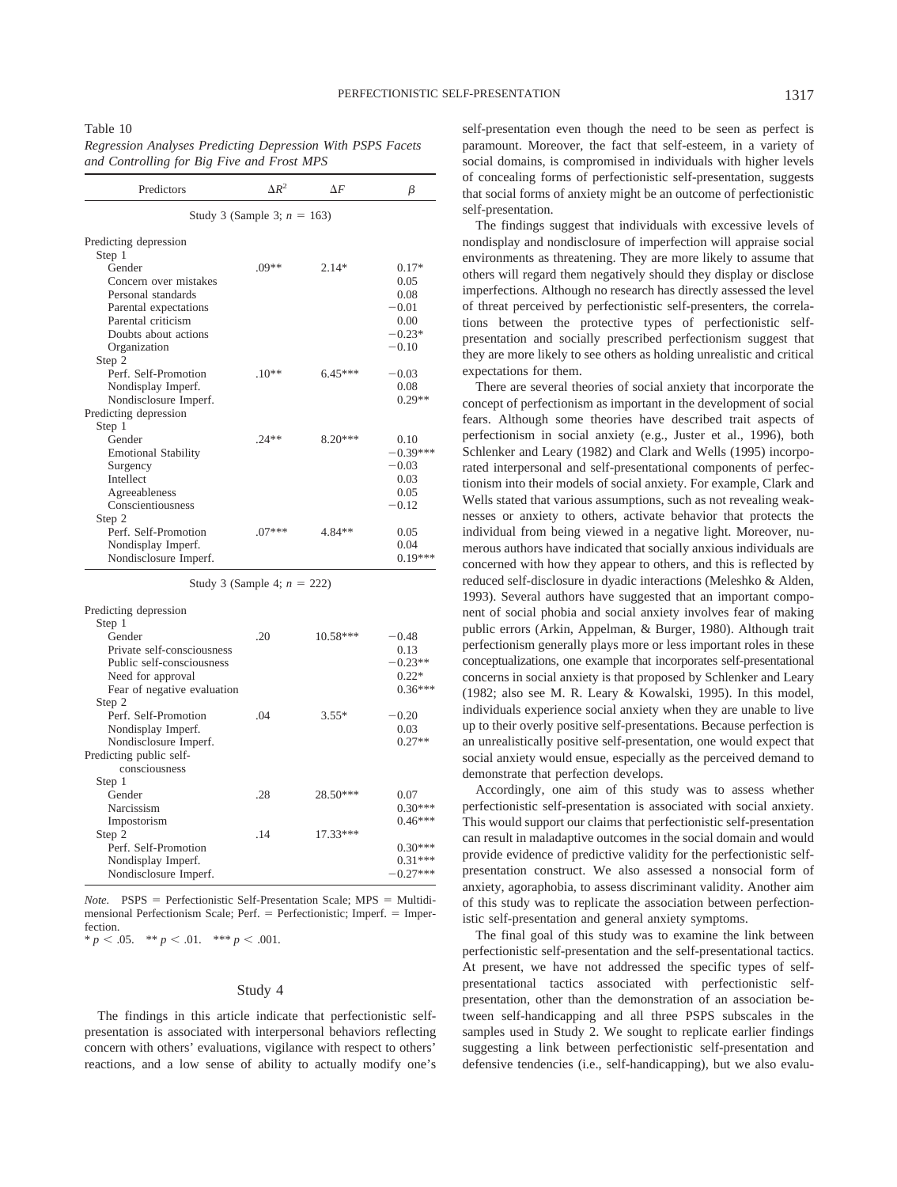Table 10

|  | Regression Analyses Predicting Depression With PSPS Facets |  |  |
|--|------------------------------------------------------------|--|--|
|  | and Controlling for Big Five and Frost MPS                 |  |  |

| Predictors                 | $\Lambda R^2$                  | $\Delta F$ | β          |
|----------------------------|--------------------------------|------------|------------|
|                            | Study 3 (Sample 3; $n = 163$ ) |            |            |
| Predicting depression      |                                |            |            |
| Step 1                     |                                |            |            |
| Gender                     | $.09**$                        | $2.14*$    | $0.17*$    |
| Concern over mistakes      |                                |            | 0.05       |
| Personal standards         |                                |            | 0.08       |
| Parental expectations      |                                |            | $-0.01$    |
| Parental criticism         |                                |            | 0.00       |
| Doubts about actions       |                                |            | $-0.23*$   |
| Organization               |                                |            | $-0.10$    |
| Step 2                     |                                |            |            |
| Perf. Self-Promotion       | $.10**$                        | $6.45***$  | $-0.03$    |
| Nondisplay Imperf.         |                                |            | 0.08       |
| Nondisclosure Imperf.      |                                |            | $0.29**$   |
| Predicting depression      |                                |            |            |
| Step 1                     |                                |            |            |
| Gender                     | $24**$                         | $8.20***$  | 0.10       |
| <b>Emotional Stability</b> |                                |            | $-0.39***$ |
| Surgency                   |                                |            | $-0.03$    |
| Intellect                  |                                |            | 0.03       |
| Agreeableness              |                                |            | 0.05       |
| Conscientiousness          |                                |            | $-0.12$    |
| Step 2                     |                                |            |            |
| Perf. Self-Promotion       | $.07***$                       | $4.84**$   | 0.05       |
| Nondisplay Imperf.         |                                |            | 0.04       |
| Nondisclosure Imperf.      |                                |            | $0.19***$  |

Study 3 (Sample 4;  $n = 222$ )

Predicting depression

| Step 1                      |     |            |            |
|-----------------------------|-----|------------|------------|
| Gender                      | .20 | $10.58***$ | $-0.48$    |
| Private self-consciousness  |     |            | 0.13       |
| Public self-consciousness   |     |            | $-0.23**$  |
| Need for approval           |     |            | $0.22*$    |
| Fear of negative evaluation |     |            | $0.36***$  |
| Step 2                      |     |            |            |
| Perf. Self-Promotion        | .04 | $3.55*$    | $-0.20$    |
| Nondisplay Imperf.          |     |            | 0.03       |
| Nondisclosure Imperf.       |     |            | $0.27**$   |
| Predicting public self-     |     |            |            |
| consciousness               |     |            |            |
| Step 1                      |     |            |            |
| Gender                      | .28 | 28.50***   | 0.07       |
| Narcissism                  |     |            | $0.30***$  |
| Impostorism                 |     |            | $0.46***$  |
| Step 2                      | .14 | 17.33***   |            |
| Perf. Self-Promotion        |     |            | $0.30***$  |
| Nondisplay Imperf.          |     |            | $0.31***$  |
| Nondisclosure Imperf.       |     |            | $-0.27***$ |
|                             |     |            |            |

 $Note. PSPS = Perfectionistic Self-Presentation Scale; MPS = Multidi$ mensional Perfectionism Scale; Perf. = Perfectionistic; Imperf. = Imperfection.

 $* p < .05.$   $* p < .01.$   $* \cdot p < .001.$ 

## Study 4

The findings in this article indicate that perfectionistic selfpresentation is associated with interpersonal behaviors reflecting concern with others' evaluations, vigilance with respect to others' reactions, and a low sense of ability to actually modify one's self-presentation even though the need to be seen as perfect is paramount. Moreover, the fact that self-esteem, in a variety of social domains, is compromised in individuals with higher levels of concealing forms of perfectionistic self-presentation, suggests that social forms of anxiety might be an outcome of perfectionistic self-presentation.

The findings suggest that individuals with excessive levels of nondisplay and nondisclosure of imperfection will appraise social environments as threatening. They are more likely to assume that others will regard them negatively should they display or disclose imperfections. Although no research has directly assessed the level of threat perceived by perfectionistic self-presenters, the correlations between the protective types of perfectionistic selfpresentation and socially prescribed perfectionism suggest that they are more likely to see others as holding unrealistic and critical expectations for them.

There are several theories of social anxiety that incorporate the concept of perfectionism as important in the development of social fears. Although some theories have described trait aspects of perfectionism in social anxiety (e.g., Juster et al., 1996), both Schlenker and Leary (1982) and Clark and Wells (1995) incorporated interpersonal and self-presentational components of perfectionism into their models of social anxiety. For example, Clark and Wells stated that various assumptions, such as not revealing weaknesses or anxiety to others, activate behavior that protects the individual from being viewed in a negative light. Moreover, numerous authors have indicated that socially anxious individuals are concerned with how they appear to others, and this is reflected by reduced self-disclosure in dyadic interactions (Meleshko & Alden, 1993). Several authors have suggested that an important component of social phobia and social anxiety involves fear of making public errors (Arkin, Appelman, & Burger, 1980). Although trait perfectionism generally plays more or less important roles in these conceptualizations, one example that incorporates self-presentational concerns in social anxiety is that proposed by Schlenker and Leary (1982; also see M. R. Leary & Kowalski, 1995). In this model, individuals experience social anxiety when they are unable to live up to their overly positive self-presentations. Because perfection is an unrealistically positive self-presentation, one would expect that social anxiety would ensue, especially as the perceived demand to demonstrate that perfection develops.

Accordingly, one aim of this study was to assess whether perfectionistic self-presentation is associated with social anxiety. This would support our claims that perfectionistic self-presentation can result in maladaptive outcomes in the social domain and would provide evidence of predictive validity for the perfectionistic selfpresentation construct. We also assessed a nonsocial form of anxiety, agoraphobia, to assess discriminant validity. Another aim of this study was to replicate the association between perfectionistic self-presentation and general anxiety symptoms.

The final goal of this study was to examine the link between perfectionistic self-presentation and the self-presentational tactics. At present, we have not addressed the specific types of selfpresentational tactics associated with perfectionistic selfpresentation, other than the demonstration of an association between self-handicapping and all three PSPS subscales in the samples used in Study 2. We sought to replicate earlier findings suggesting a link between perfectionistic self-presentation and defensive tendencies (i.e., self-handicapping), but we also evalu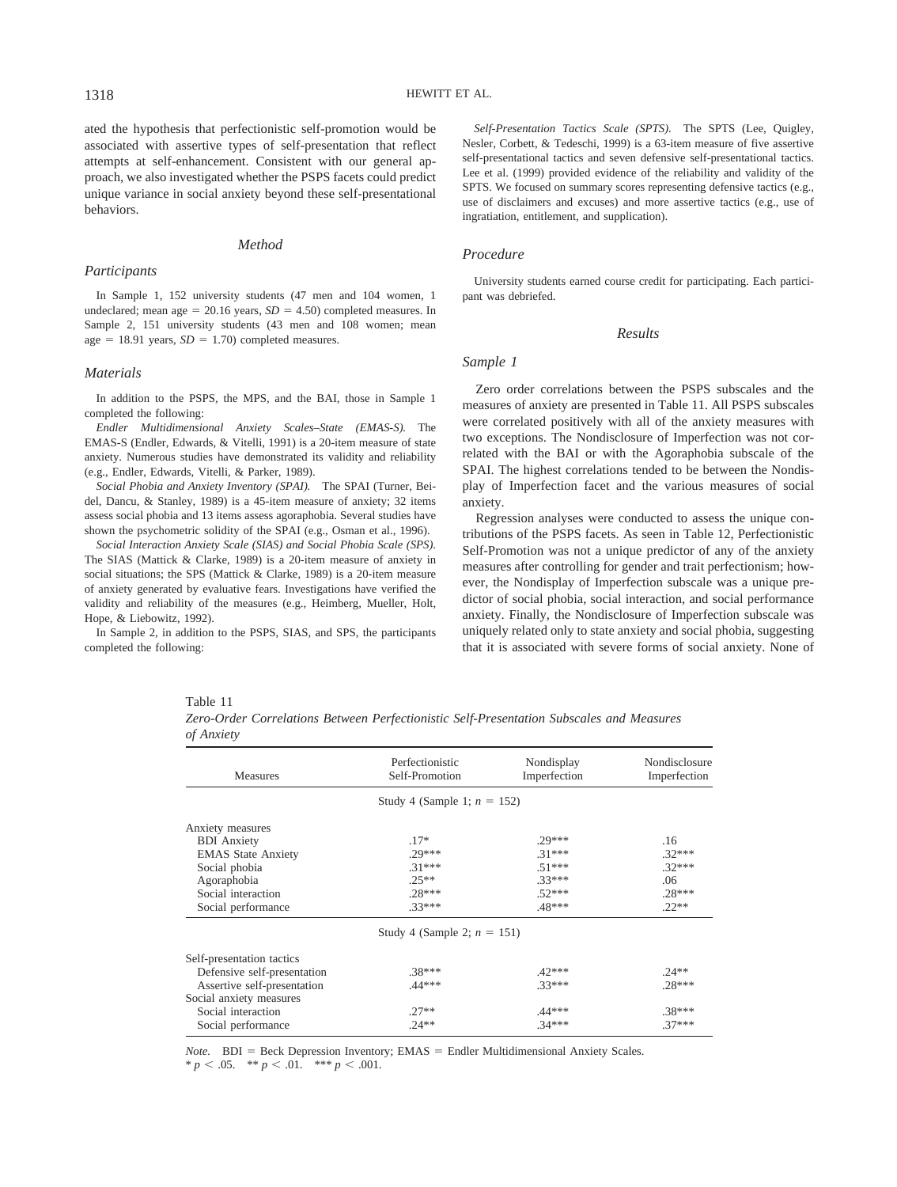1318 HEWITT ET AL.

ated the hypothesis that perfectionistic self-promotion would be associated with assertive types of self-presentation that reflect attempts at self-enhancement. Consistent with our general approach, we also investigated whether the PSPS facets could predict unique variance in social anxiety beyond these self-presentational behaviors.

#### *Method*

## *Participants*

In Sample 1, 152 university students (47 men and 104 women, 1 undeclared; mean age  $= 20.16$  years,  $SD = 4.50$ ) completed measures. In Sample 2, 151 university students (43 men and 108 women; mean age  $= 18.91$  years,  $SD = 1.70$ ) completed measures.

#### *Materials*

In addition to the PSPS, the MPS, and the BAI, those in Sample 1 completed the following:

*Endler Multidimensional Anxiety Scales–State (EMAS-S).* The EMAS-S (Endler, Edwards, & Vitelli, 1991) is a 20-item measure of state anxiety. Numerous studies have demonstrated its validity and reliability (e.g., Endler, Edwards, Vitelli, & Parker, 1989).

*Social Phobia and Anxiety Inventory (SPAI).* The SPAI (Turner, Beidel, Dancu, & Stanley, 1989) is a 45-item measure of anxiety; 32 items assess social phobia and 13 items assess agoraphobia. Several studies have shown the psychometric solidity of the SPAI (e.g., Osman et al., 1996).

*Social Interaction Anxiety Scale (SIAS) and Social Phobia Scale (SPS).* The SIAS (Mattick & Clarke, 1989) is a 20-item measure of anxiety in social situations; the SPS (Mattick & Clarke, 1989) is a 20-item measure of anxiety generated by evaluative fears. Investigations have verified the validity and reliability of the measures (e.g., Heimberg, Mueller, Holt, Hope, & Liebowitz, 1992).

In Sample 2, in addition to the PSPS, SIAS, and SPS, the participants completed the following:

*Self-Presentation Tactics Scale (SPTS).* The SPTS (Lee, Quigley, Nesler, Corbett, & Tedeschi, 1999) is a 63-item measure of five assertive self-presentational tactics and seven defensive self-presentational tactics. Lee et al. (1999) provided evidence of the reliability and validity of the SPTS. We focused on summary scores representing defensive tactics (e.g., use of disclaimers and excuses) and more assertive tactics (e.g., use of ingratiation, entitlement, and supplication).

#### *Procedure*

University students earned course credit for participating. Each participant was debriefed.

#### *Results*

#### *Sample 1*

Zero order correlations between the PSPS subscales and the measures of anxiety are presented in Table 11. All PSPS subscales were correlated positively with all of the anxiety measures with two exceptions. The Nondisclosure of Imperfection was not correlated with the BAI or with the Agoraphobia subscale of the SPAI. The highest correlations tended to be between the Nondisplay of Imperfection facet and the various measures of social anxiety.

Regression analyses were conducted to assess the unique contributions of the PSPS facets. As seen in Table 12, Perfectionistic Self-Promotion was not a unique predictor of any of the anxiety measures after controlling for gender and trait perfectionism; however, the Nondisplay of Imperfection subscale was a unique predictor of social phobia, social interaction, and social performance anxiety. Finally, the Nondisclosure of Imperfection subscale was uniquely related only to state anxiety and social phobia, suggesting that it is associated with severe forms of social anxiety. None of

Table 11 *Zero-Order Correlations Between Perfectionistic Self-Presentation Subscales and Measures of Anxiety*

| <b>Measures</b>             | Perfectionistic<br>Self-Promotion | Nondisplay<br>Imperfection | Nondisclosure<br>Imperfection |  |
|-----------------------------|-----------------------------------|----------------------------|-------------------------------|--|
|                             | Study 4 (Sample 1; $n = 152$ )    |                            |                               |  |
| Anxiety measures            |                                   |                            |                               |  |
| <b>BDI</b> Anxiety          | $.17*$                            | $.29***$                   | .16                           |  |
| <b>EMAS</b> State Anxiety   | $.29***$                          | $.31***$                   | $.32***$                      |  |
| Social phobia               | $.31***$                          | $.51***$                   | $.32***$                      |  |
| Agoraphobia                 | $.25**$                           | $.33***$                   | .06                           |  |
| Social interaction          | $.28***$                          | $.52***$                   | $.28***$                      |  |
| Social performance          | $.33***$                          | .48***                     | $.22**$                       |  |
|                             | Study 4 (Sample 2; $n = 151$ )    |                            |                               |  |
| Self-presentation tactics   |                                   |                            |                               |  |
| Defensive self-presentation | $.38***$                          | $.42***$                   | $.24**$                       |  |
| Assertive self-presentation | $.44***$                          | $.33***$                   | $.28***$                      |  |
| Social anxiety measures     |                                   |                            |                               |  |
| Social interaction          | $.27**$                           | $.44***$                   | .38***                        |  |
| Social performance          | $.24**$                           | $.34***$                   | $.37***$                      |  |

*Note.* BDI = Beck Depression Inventory; EMAS = Endler Multidimensional Anxiety Scales.

 $* p < .05.$   $* p < .01.$   $* \cdot p < .001.$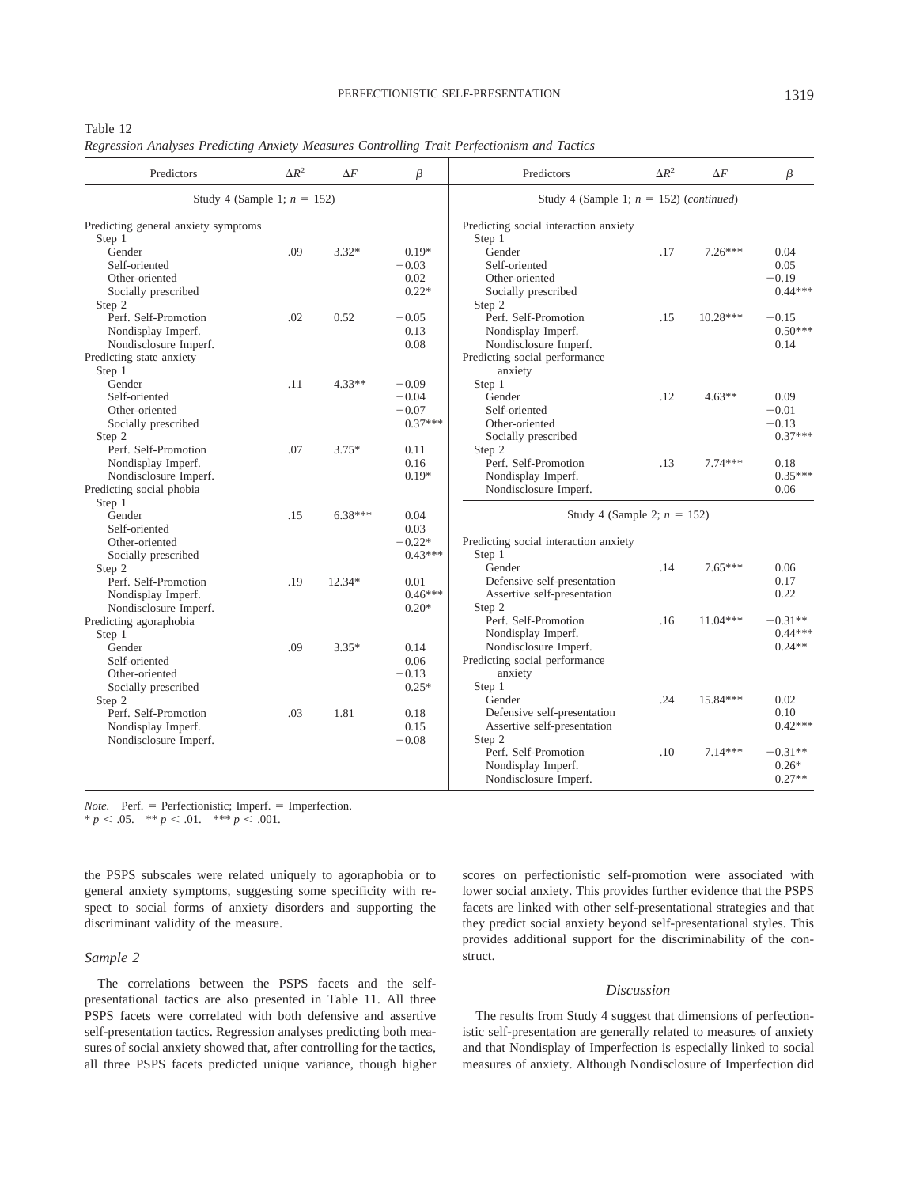#### PERFECTIONISTIC SELF-PRESENTATION 1319

| Table 12                                                                                    |  |  |  |  |
|---------------------------------------------------------------------------------------------|--|--|--|--|
| Regression Analyses Predicting Anxiety Measures Controlling Trait Perfectionism and Tactics |  |  |  |  |

| Predictors                                                                                                | $\Delta R^2$ | $\Delta F$          | $\beta$                                            | Predictors                                                                                                                | $\Delta R^2$ | $\Delta F$ | $\beta$                                 |
|-----------------------------------------------------------------------------------------------------------|--------------|---------------------|----------------------------------------------------|---------------------------------------------------------------------------------------------------------------------------|--------------|------------|-----------------------------------------|
| Study 4 (Sample 1; $n = 152$ )                                                                            |              |                     |                                                    | Study 4 (Sample 1; $n = 152$ ) (continued)                                                                                |              |            |                                         |
| Predicting general anxiety symptoms<br>Step 1                                                             |              |                     |                                                    | Predicting social interaction anxiety<br>Step 1                                                                           |              |            |                                         |
| Gender<br>Self-oriented<br>Other-oriented<br>Socially prescribed<br>Step 2                                | .09          | $3.32*$             | $0.19*$<br>$-0.03$<br>0.02<br>$0.22*$              | Gender<br>Self-oriented<br>Other-oriented<br>Socially prescribed<br>Step 2                                                | .17          | $7.26***$  | 0.04<br>0.05<br>$-0.19$<br>$0.44***$    |
| Perf. Self-Promotion<br>Nondisplay Imperf.<br>Nondisclosure Imperf.<br>Predicting state anxiety<br>Step 1 | .02          | 0.52                | $-0.05$<br>0.13<br>0.08                            | Perf. Self-Promotion<br>Nondisplay Imperf.<br>Nondisclosure Imperf.<br>Predicting social performance<br>anxiety           | .15          | $10.28***$ | $-0.15$<br>$0.50***$<br>0.14            |
| Gender<br>Self-oriented<br>Other-oriented<br>Socially prescribed<br>Step 2<br>Perf. Self-Promotion        | .11<br>.07   | $4.33**$<br>$3.75*$ | $-0.09$<br>$-0.04$<br>$-0.07$<br>$0.37***$<br>0.11 | Step 1<br>Gender<br>Self-oriented<br>Other-oriented<br>Socially prescribed<br>Step 2                                      | .12          | $4.63**$   | 0.09<br>$-0.01$<br>$-0.13$<br>$0.37***$ |
| Nondisplay Imperf.<br>Nondisclosure Imperf.<br>Predicting social phobia<br>Step 1                         |              |                     | 0.16<br>$0.19*$                                    | Perf. Self-Promotion<br>Nondisplay Imperf.<br>Nondisclosure Imperf.                                                       | .13          | $7.74***$  | 0.18<br>$0.35***$<br>0.06               |
| Gender<br>Self-oriented<br>Other-oriented<br>Socially prescribed                                          | .15          | $6.38***$           | 0.04<br>0.03<br>$-0.22*$<br>$0.43***$              | Study 4 (Sample 2; $n = 152$ )<br>Predicting social interaction anxiety<br>Step 1                                         |              |            |                                         |
| Step 2<br>Perf. Self-Promotion<br>Nondisplay Imperf.<br>Nondisclosure Imperf.                             | .19          | 12.34*              | 0.01<br>$0.46***$<br>$0.20*$                       | Gender<br>Defensive self-presentation<br>Assertive self-presentation<br>Step 2                                            | .14          | $7.65***$  | 0.06<br>0.17<br>0.22                    |
| Predicting agoraphobia<br>Step 1<br>Gender<br>Self-oriented<br>Other-oriented<br>Socially prescribed      | .09          | $3.35*$             | 0.14<br>0.06<br>$-0.13$<br>$0.25*$                 | Perf. Self-Promotion<br>Nondisplay Imperf.<br>Nondisclosure Imperf.<br>Predicting social performance<br>anxiety<br>Step 1 | .16          | $11.04***$ | $-0.31**$<br>$0.44***$<br>$0.24**$      |
| Step 2<br>Perf. Self-Promotion<br>Nondisplay Imperf.<br>Nondisclosure Imperf.                             | .03          | 1.81                | 0.18<br>0.15<br>$-0.08$                            | Gender<br>Defensive self-presentation<br>Assertive self-presentation<br>Step 2                                            | .24          | 15.84***   | 0.02<br>0.10<br>$0.42***$               |
|                                                                                                           |              |                     |                                                    | Perf. Self-Promotion<br>Nondisplay Imperf.<br>Nondisclosure Imperf.                                                       | .10          | $7.14***$  | $-0.31**$<br>$0.26*$<br>$0.27**$        |

*Note.* Perf.  $=$  Perfectionistic; Imperf.  $=$  Imperfection.

 $* p < .05.$   $* p < .01.$   $* \cdot p < .001.$ 

the PSPS subscales were related uniquely to agoraphobia or to general anxiety symptoms, suggesting some specificity with respect to social forms of anxiety disorders and supporting the discriminant validity of the measure.

# *Sample 2*

The correlations between the PSPS facets and the selfpresentational tactics are also presented in Table 11. All three PSPS facets were correlated with both defensive and assertive self-presentation tactics. Regression analyses predicting both measures of social anxiety showed that, after controlling for the tactics, all three PSPS facets predicted unique variance, though higher scores on perfectionistic self-promotion were associated with lower social anxiety. This provides further evidence that the PSPS facets are linked with other self-presentational strategies and that they predict social anxiety beyond self-presentational styles. This provides additional support for the discriminability of the construct.

## *Discussion*

The results from Study 4 suggest that dimensions of perfectionistic self-presentation are generally related to measures of anxiety and that Nondisplay of Imperfection is especially linked to social measures of anxiety. Although Nondisclosure of Imperfection did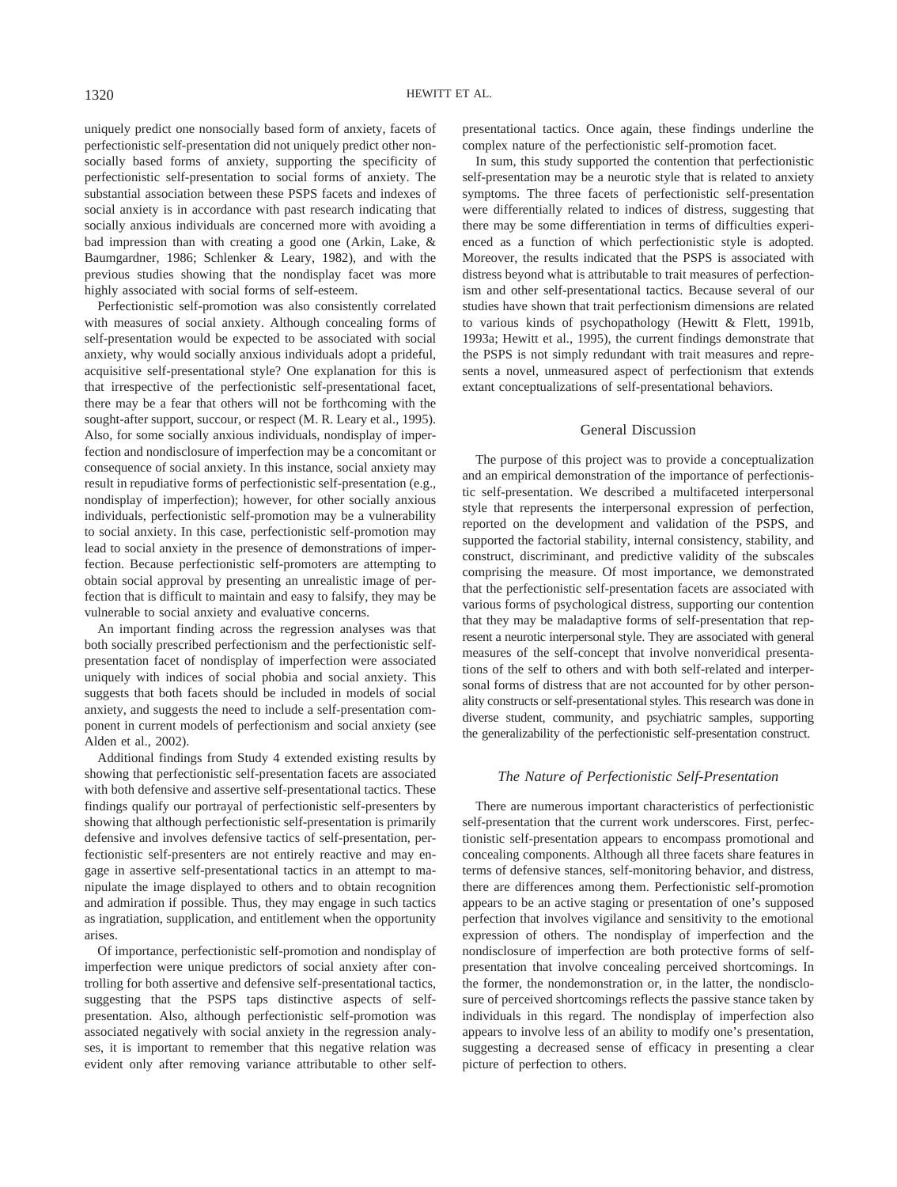uniquely predict one nonsocially based form of anxiety, facets of perfectionistic self-presentation did not uniquely predict other nonsocially based forms of anxiety, supporting the specificity of perfectionistic self-presentation to social forms of anxiety. The substantial association between these PSPS facets and indexes of social anxiety is in accordance with past research indicating that socially anxious individuals are concerned more with avoiding a bad impression than with creating a good one (Arkin, Lake, & Baumgardner, 1986; Schlenker & Leary, 1982), and with the previous studies showing that the nondisplay facet was more highly associated with social forms of self-esteem.

Perfectionistic self-promotion was also consistently correlated with measures of social anxiety. Although concealing forms of self-presentation would be expected to be associated with social anxiety, why would socially anxious individuals adopt a prideful, acquisitive self-presentational style? One explanation for this is that irrespective of the perfectionistic self-presentational facet, there may be a fear that others will not be forthcoming with the sought-after support, succour, or respect (M. R. Leary et al., 1995). Also, for some socially anxious individuals, nondisplay of imperfection and nondisclosure of imperfection may be a concomitant or consequence of social anxiety. In this instance, social anxiety may result in repudiative forms of perfectionistic self-presentation (e.g., nondisplay of imperfection); however, for other socially anxious individuals, perfectionistic self-promotion may be a vulnerability to social anxiety. In this case, perfectionistic self-promotion may lead to social anxiety in the presence of demonstrations of imperfection. Because perfectionistic self-promoters are attempting to obtain social approval by presenting an unrealistic image of perfection that is difficult to maintain and easy to falsify, they may be vulnerable to social anxiety and evaluative concerns.

An important finding across the regression analyses was that both socially prescribed perfectionism and the perfectionistic selfpresentation facet of nondisplay of imperfection were associated uniquely with indices of social phobia and social anxiety. This suggests that both facets should be included in models of social anxiety, and suggests the need to include a self-presentation component in current models of perfectionism and social anxiety (see Alden et al., 2002).

Additional findings from Study 4 extended existing results by showing that perfectionistic self-presentation facets are associated with both defensive and assertive self-presentational tactics. These findings qualify our portrayal of perfectionistic self-presenters by showing that although perfectionistic self-presentation is primarily defensive and involves defensive tactics of self-presentation, perfectionistic self-presenters are not entirely reactive and may engage in assertive self-presentational tactics in an attempt to manipulate the image displayed to others and to obtain recognition and admiration if possible. Thus, they may engage in such tactics as ingratiation, supplication, and entitlement when the opportunity arises.

Of importance, perfectionistic self-promotion and nondisplay of imperfection were unique predictors of social anxiety after controlling for both assertive and defensive self-presentational tactics, suggesting that the PSPS taps distinctive aspects of selfpresentation. Also, although perfectionistic self-promotion was associated negatively with social anxiety in the regression analyses, it is important to remember that this negative relation was evident only after removing variance attributable to other selfpresentational tactics. Once again, these findings underline the complex nature of the perfectionistic self-promotion facet.

In sum, this study supported the contention that perfectionistic self-presentation may be a neurotic style that is related to anxiety symptoms. The three facets of perfectionistic self-presentation were differentially related to indices of distress, suggesting that there may be some differentiation in terms of difficulties experienced as a function of which perfectionistic style is adopted. Moreover, the results indicated that the PSPS is associated with distress beyond what is attributable to trait measures of perfectionism and other self-presentational tactics. Because several of our studies have shown that trait perfectionism dimensions are related to various kinds of psychopathology (Hewitt & Flett, 1991b, 1993a; Hewitt et al., 1995), the current findings demonstrate that the PSPS is not simply redundant with trait measures and represents a novel, unmeasured aspect of perfectionism that extends extant conceptualizations of self-presentational behaviors.

## General Discussion

The purpose of this project was to provide a conceptualization and an empirical demonstration of the importance of perfectionistic self-presentation. We described a multifaceted interpersonal style that represents the interpersonal expression of perfection, reported on the development and validation of the PSPS, and supported the factorial stability, internal consistency, stability, and construct, discriminant, and predictive validity of the subscales comprising the measure. Of most importance, we demonstrated that the perfectionistic self-presentation facets are associated with various forms of psychological distress, supporting our contention that they may be maladaptive forms of self-presentation that represent a neurotic interpersonal style. They are associated with general measures of the self-concept that involve nonveridical presentations of the self to others and with both self-related and interpersonal forms of distress that are not accounted for by other personality constructs or self-presentational styles. This research was done in diverse student, community, and psychiatric samples, supporting the generalizability of the perfectionistic self-presentation construct.

## *The Nature of Perfectionistic Self-Presentation*

There are numerous important characteristics of perfectionistic self-presentation that the current work underscores. First, perfectionistic self-presentation appears to encompass promotional and concealing components. Although all three facets share features in terms of defensive stances, self-monitoring behavior, and distress, there are differences among them. Perfectionistic self-promotion appears to be an active staging or presentation of one's supposed perfection that involves vigilance and sensitivity to the emotional expression of others. The nondisplay of imperfection and the nondisclosure of imperfection are both protective forms of selfpresentation that involve concealing perceived shortcomings. In the former, the nondemonstration or, in the latter, the nondisclosure of perceived shortcomings reflects the passive stance taken by individuals in this regard. The nondisplay of imperfection also appears to involve less of an ability to modify one's presentation, suggesting a decreased sense of efficacy in presenting a clear picture of perfection to others.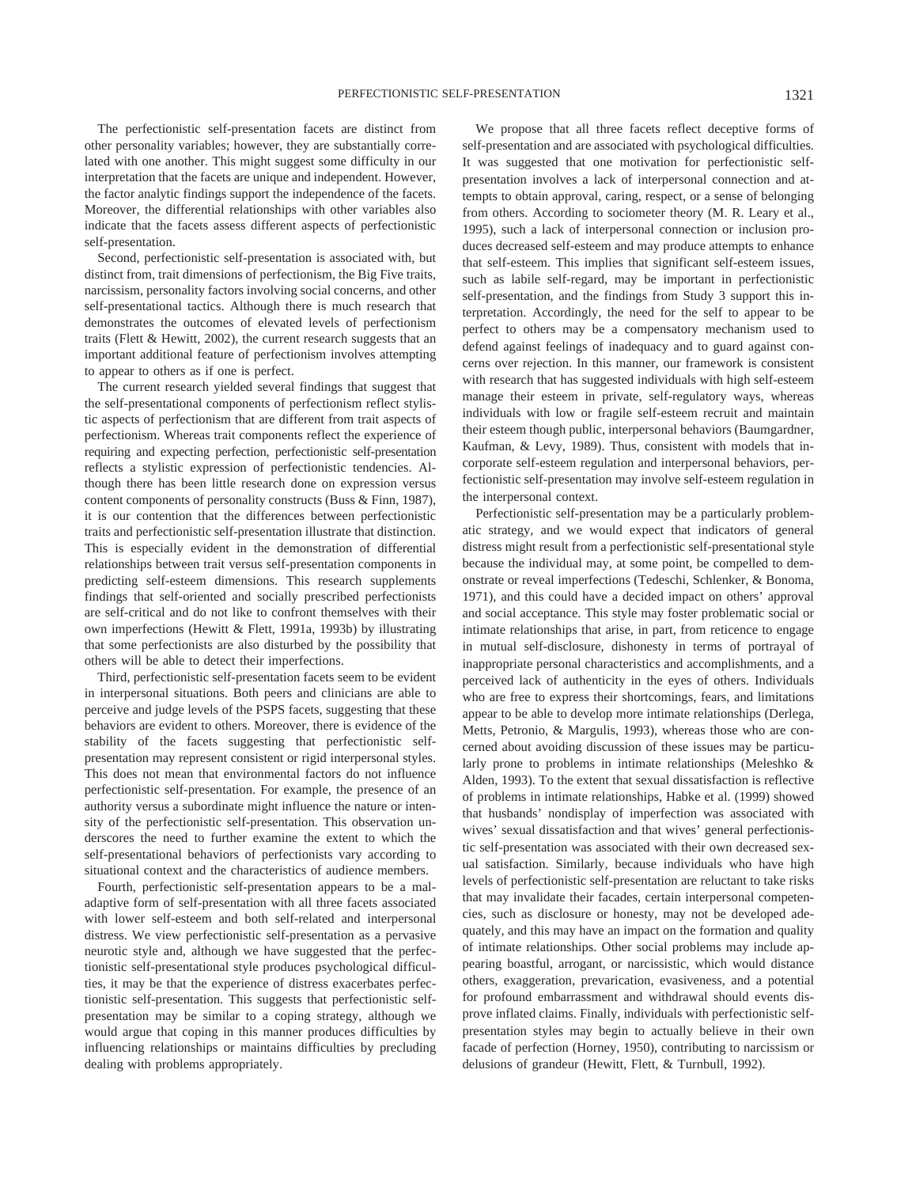The perfectionistic self-presentation facets are distinct from other personality variables; however, they are substantially correlated with one another. This might suggest some difficulty in our interpretation that the facets are unique and independent. However, the factor analytic findings support the independence of the facets. Moreover, the differential relationships with other variables also indicate that the facets assess different aspects of perfectionistic self-presentation.

Second, perfectionistic self-presentation is associated with, but distinct from, trait dimensions of perfectionism, the Big Five traits, narcissism, personality factors involving social concerns, and other self-presentational tactics. Although there is much research that demonstrates the outcomes of elevated levels of perfectionism traits (Flett & Hewitt, 2002), the current research suggests that an important additional feature of perfectionism involves attempting to appear to others as if one is perfect.

The current research yielded several findings that suggest that the self-presentational components of perfectionism reflect stylistic aspects of perfectionism that are different from trait aspects of perfectionism. Whereas trait components reflect the experience of requiring and expecting perfection, perfectionistic self-presentation reflects a stylistic expression of perfectionistic tendencies. Although there has been little research done on expression versus content components of personality constructs (Buss & Finn, 1987), it is our contention that the differences between perfectionistic traits and perfectionistic self-presentation illustrate that distinction. This is especially evident in the demonstration of differential relationships between trait versus self-presentation components in predicting self-esteem dimensions. This research supplements findings that self-oriented and socially prescribed perfectionists are self-critical and do not like to confront themselves with their own imperfections (Hewitt & Flett, 1991a, 1993b) by illustrating that some perfectionists are also disturbed by the possibility that others will be able to detect their imperfections.

Third, perfectionistic self-presentation facets seem to be evident in interpersonal situations. Both peers and clinicians are able to perceive and judge levels of the PSPS facets, suggesting that these behaviors are evident to others. Moreover, there is evidence of the stability of the facets suggesting that perfectionistic selfpresentation may represent consistent or rigid interpersonal styles. This does not mean that environmental factors do not influence perfectionistic self-presentation. For example, the presence of an authority versus a subordinate might influence the nature or intensity of the perfectionistic self-presentation. This observation underscores the need to further examine the extent to which the self-presentational behaviors of perfectionists vary according to situational context and the characteristics of audience members.

Fourth, perfectionistic self-presentation appears to be a maladaptive form of self-presentation with all three facets associated with lower self-esteem and both self-related and interpersonal distress. We view perfectionistic self-presentation as a pervasive neurotic style and, although we have suggested that the perfectionistic self-presentational style produces psychological difficulties, it may be that the experience of distress exacerbates perfectionistic self-presentation. This suggests that perfectionistic selfpresentation may be similar to a coping strategy, although we would argue that coping in this manner produces difficulties by influencing relationships or maintains difficulties by precluding dealing with problems appropriately.

We propose that all three facets reflect deceptive forms of self-presentation and are associated with psychological difficulties. It was suggested that one motivation for perfectionistic selfpresentation involves a lack of interpersonal connection and attempts to obtain approval, caring, respect, or a sense of belonging from others. According to sociometer theory (M. R. Leary et al., 1995), such a lack of interpersonal connection or inclusion produces decreased self-esteem and may produce attempts to enhance that self-esteem. This implies that significant self-esteem issues, such as labile self-regard, may be important in perfectionistic self-presentation, and the findings from Study 3 support this interpretation. Accordingly, the need for the self to appear to be perfect to others may be a compensatory mechanism used to defend against feelings of inadequacy and to guard against concerns over rejection. In this manner, our framework is consistent with research that has suggested individuals with high self-esteem manage their esteem in private, self-regulatory ways, whereas individuals with low or fragile self-esteem recruit and maintain their esteem though public, interpersonal behaviors (Baumgardner, Kaufman, & Levy, 1989). Thus, consistent with models that incorporate self-esteem regulation and interpersonal behaviors, perfectionistic self-presentation may involve self-esteem regulation in the interpersonal context.

Perfectionistic self-presentation may be a particularly problematic strategy, and we would expect that indicators of general distress might result from a perfectionistic self-presentational style because the individual may, at some point, be compelled to demonstrate or reveal imperfections (Tedeschi, Schlenker, & Bonoma, 1971), and this could have a decided impact on others' approval and social acceptance. This style may foster problematic social or intimate relationships that arise, in part, from reticence to engage in mutual self-disclosure, dishonesty in terms of portrayal of inappropriate personal characteristics and accomplishments, and a perceived lack of authenticity in the eyes of others. Individuals who are free to express their shortcomings, fears, and limitations appear to be able to develop more intimate relationships (Derlega, Metts, Petronio, & Margulis, 1993), whereas those who are concerned about avoiding discussion of these issues may be particularly prone to problems in intimate relationships (Meleshko & Alden, 1993). To the extent that sexual dissatisfaction is reflective of problems in intimate relationships, Habke et al. (1999) showed that husbands' nondisplay of imperfection was associated with wives' sexual dissatisfaction and that wives' general perfectionistic self-presentation was associated with their own decreased sexual satisfaction. Similarly, because individuals who have high levels of perfectionistic self-presentation are reluctant to take risks that may invalidate their facades, certain interpersonal competencies, such as disclosure or honesty, may not be developed adequately, and this may have an impact on the formation and quality of intimate relationships. Other social problems may include appearing boastful, arrogant, or narcissistic, which would distance others, exaggeration, prevarication, evasiveness, and a potential for profound embarrassment and withdrawal should events disprove inflated claims. Finally, individuals with perfectionistic selfpresentation styles may begin to actually believe in their own facade of perfection (Horney, 1950), contributing to narcissism or delusions of grandeur (Hewitt, Flett, & Turnbull, 1992).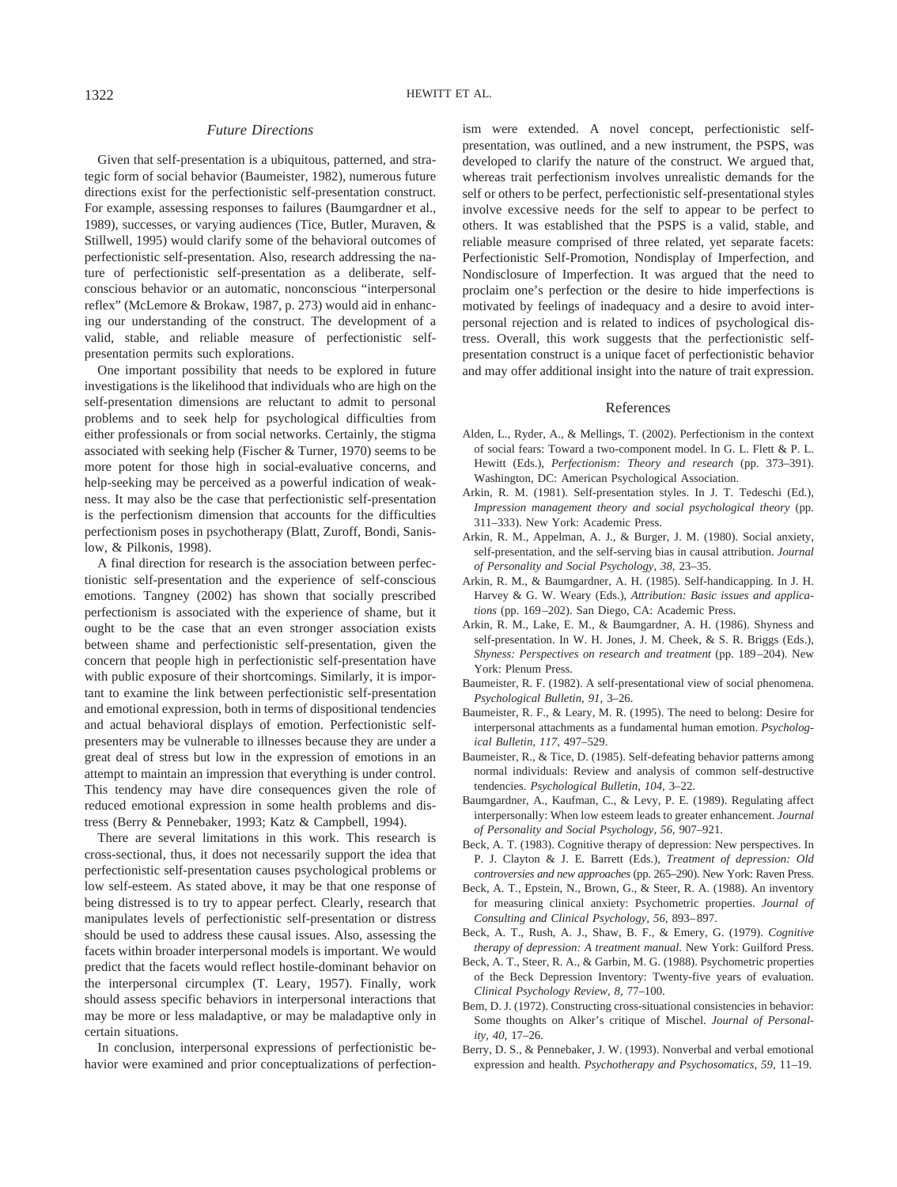# *Future Directions*

Given that self-presentation is a ubiquitous, patterned, and strategic form of social behavior (Baumeister, 1982), numerous future directions exist for the perfectionistic self-presentation construct. For example, assessing responses to failures (Baumgardner et al., 1989), successes, or varying audiences (Tice, Butler, Muraven, & Stillwell, 1995) would clarify some of the behavioral outcomes of perfectionistic self-presentation. Also, research addressing the nature of perfectionistic self-presentation as a deliberate, selfconscious behavior or an automatic, nonconscious "interpersonal reflex" (McLemore & Brokaw, 1987, p. 273) would aid in enhancing our understanding of the construct. The development of a valid, stable, and reliable measure of perfectionistic selfpresentation permits such explorations.

One important possibility that needs to be explored in future investigations is the likelihood that individuals who are high on the self-presentation dimensions are reluctant to admit to personal problems and to seek help for psychological difficulties from either professionals or from social networks. Certainly, the stigma associated with seeking help (Fischer & Turner, 1970) seems to be more potent for those high in social-evaluative concerns, and help-seeking may be perceived as a powerful indication of weakness. It may also be the case that perfectionistic self-presentation is the perfectionism dimension that accounts for the difficulties perfectionism poses in psychotherapy (Blatt, Zuroff, Bondi, Sanislow, & Pilkonis, 1998).

A final direction for research is the association between perfectionistic self-presentation and the experience of self-conscious emotions. Tangney (2002) has shown that socially prescribed perfectionism is associated with the experience of shame, but it ought to be the case that an even stronger association exists between shame and perfectionistic self-presentation, given the concern that people high in perfectionistic self-presentation have with public exposure of their shortcomings. Similarly, it is important to examine the link between perfectionistic self-presentation and emotional expression, both in terms of dispositional tendencies and actual behavioral displays of emotion. Perfectionistic selfpresenters may be vulnerable to illnesses because they are under a great deal of stress but low in the expression of emotions in an attempt to maintain an impression that everything is under control. This tendency may have dire consequences given the role of reduced emotional expression in some health problems and distress (Berry & Pennebaker, 1993; Katz & Campbell, 1994).

There are several limitations in this work. This research is cross-sectional, thus, it does not necessarily support the idea that perfectionistic self-presentation causes psychological problems or low self-esteem. As stated above, it may be that one response of being distressed is to try to appear perfect. Clearly, research that manipulates levels of perfectionistic self-presentation or distress should be used to address these causal issues. Also, assessing the facets within broader interpersonal models is important. We would predict that the facets would reflect hostile-dominant behavior on the interpersonal circumplex (T. Leary, 1957). Finally, work should assess specific behaviors in interpersonal interactions that may be more or less maladaptive, or may be maladaptive only in certain situations.

In conclusion, interpersonal expressions of perfectionistic behavior were examined and prior conceptualizations of perfectionism were extended. A novel concept, perfectionistic selfpresentation, was outlined, and a new instrument, the PSPS, was developed to clarify the nature of the construct. We argued that, whereas trait perfectionism involves unrealistic demands for the self or others to be perfect, perfectionistic self-presentational styles involve excessive needs for the self to appear to be perfect to others. It was established that the PSPS is a valid, stable, and reliable measure comprised of three related, yet separate facets: Perfectionistic Self-Promotion, Nondisplay of Imperfection, and Nondisclosure of Imperfection. It was argued that the need to proclaim one's perfection or the desire to hide imperfections is motivated by feelings of inadequacy and a desire to avoid interpersonal rejection and is related to indices of psychological distress. Overall, this work suggests that the perfectionistic selfpresentation construct is a unique facet of perfectionistic behavior and may offer additional insight into the nature of trait expression.

## References

- Alden, L., Ryder, A., & Mellings, T. (2002). Perfectionism in the context of social fears: Toward a two-component model. In G. L. Flett & P. L. Hewitt (Eds.), *Perfectionism: Theory and research* (pp. 373–391). Washington, DC: American Psychological Association.
- Arkin, R. M. (1981). Self-presentation styles. In J. T. Tedeschi (Ed.), *Impression management theory and social psychological theory* (pp. 311–333). New York: Academic Press.
- Arkin, R. M., Appelman, A. J., & Burger, J. M. (1980). Social anxiety, self-presentation, and the self-serving bias in causal attribution. *Journal of Personality and Social Psychology, 38,* 23–35.
- Arkin, R. M., & Baumgardner, A. H. (1985). Self-handicapping. In J. H. Harvey & G. W. Weary (Eds.), *Attribution: Basic issues and applications* (pp. 169–202). San Diego, CA: Academic Press.
- Arkin, R. M., Lake, E. M., & Baumgardner, A. H. (1986). Shyness and self-presentation. In W. H. Jones, J. M. Cheek, & S. R. Briggs (Eds.), *Shyness: Perspectives on research and treatment* (pp. 189–204). New York: Plenum Press.
- Baumeister, R. F. (1982). A self-presentational view of social phenomena. *Psychological Bulletin, 91,* 3–26.
- Baumeister, R. F., & Leary, M. R. (1995). The need to belong: Desire for interpersonal attachments as a fundamental human emotion. *Psychological Bulletin, 117,* 497–529.
- Baumeister, R., & Tice, D. (1985). Self-defeating behavior patterns among normal individuals: Review and analysis of common self-destructive tendencies. *Psychological Bulletin, 104,* 3–22.
- Baumgardner, A., Kaufman, C., & Levy, P. E. (1989). Regulating affect interpersonally: When low esteem leads to greater enhancement. *Journal of Personality and Social Psychology, 56,* 907–921.
- Beck, A. T. (1983). Cognitive therapy of depression: New perspectives. In P. J. Clayton & J. E. Barrett (Eds.), *Treatment of depression: Old controversies and new approaches* (pp. 265–290). New York: Raven Press.
- Beck, A. T., Epstein, N., Brown, G., & Steer, R. A. (1988). An inventory for measuring clinical anxiety: Psychometric properties. *Journal of Consulting and Clinical Psychology, 56,* 893–897.
- Beck, A. T., Rush, A. J., Shaw, B. F., & Emery, G. (1979). *Cognitive therapy of depression: A treatment manual.* New York: Guilford Press.
- Beck, A. T., Steer, R. A., & Garbin, M. G. (1988). Psychometric properties of the Beck Depression Inventory: Twenty-five years of evaluation. *Clinical Psychology Review, 8,* 77–100.
- Bem, D. J. (1972). Constructing cross-situational consistencies in behavior: Some thoughts on Alker's critique of Mischel. *Journal of Personality, 40,* 17–26.
- Berry, D. S., & Pennebaker, J. W. (1993). Nonverbal and verbal emotional expression and health. *Psychotherapy and Psychosomatics, 59,* 11–19.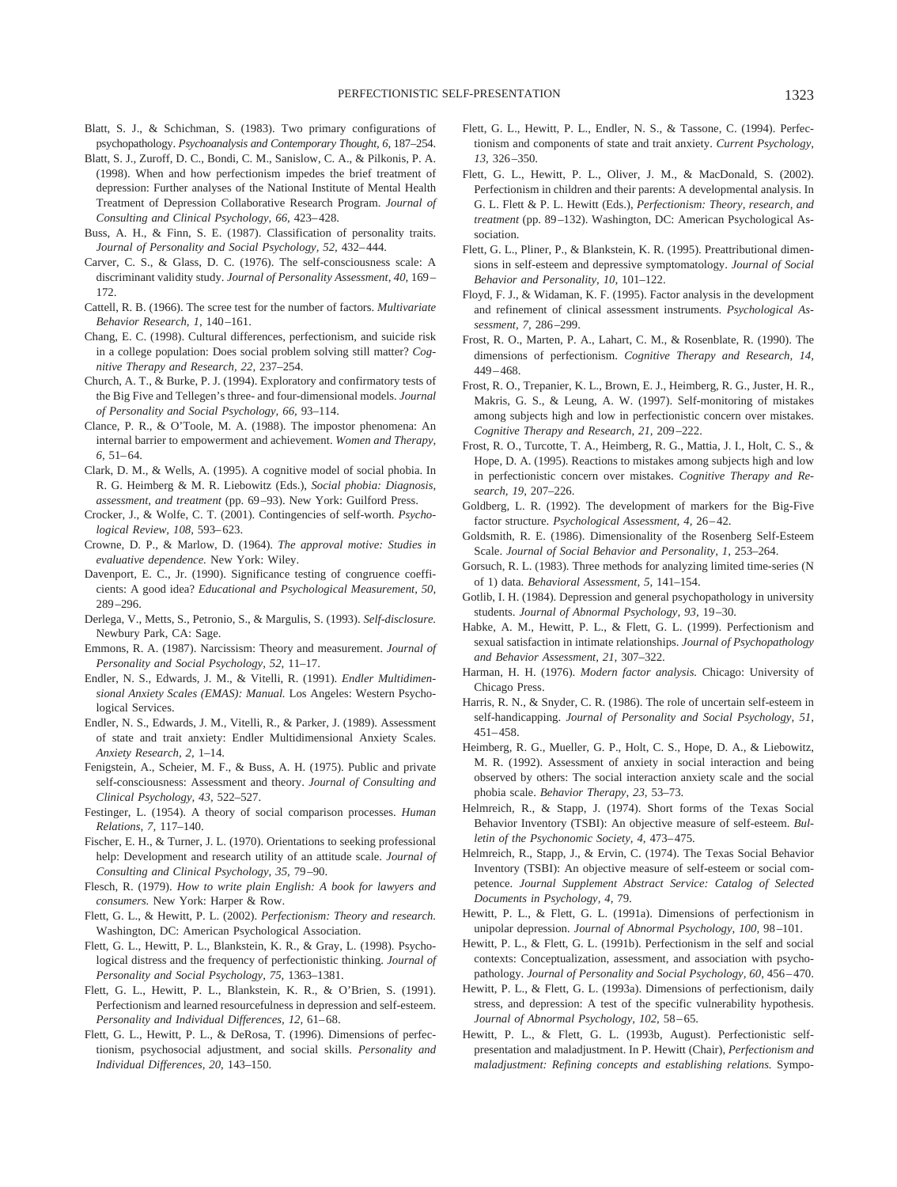- Blatt, S. J., & Schichman, S. (1983). Two primary configurations of psychopathology. *Psychoanalysis and Contemporary Thought, 6,* 187–254.
- Blatt, S. J., Zuroff, D. C., Bondi, C. M., Sanislow, C. A., & Pilkonis, P. A. (1998). When and how perfectionism impedes the brief treatment of depression: Further analyses of the National Institute of Mental Health Treatment of Depression Collaborative Research Program. *Journal of Consulting and Clinical Psychology, 66,* 423–428.
- Buss, A. H., & Finn, S. E. (1987). Classification of personality traits. *Journal of Personality and Social Psychology, 52,* 432–444.
- Carver, C. S., & Glass, D. C. (1976). The self-consciousness scale: A discriminant validity study. *Journal of Personality Assessment, 40,* 169– 172.
- Cattell, R. B. (1966). The scree test for the number of factors. *Multivariate Behavior Research, 1,* 140–161.
- Chang, E. C. (1998). Cultural differences, perfectionism, and suicide risk in a college population: Does social problem solving still matter? *Cognitive Therapy and Research, 22,* 237–254.
- Church, A. T., & Burke, P. J. (1994). Exploratory and confirmatory tests of the Big Five and Tellegen's three- and four-dimensional models. *Journal of Personality and Social Psychology, 66,* 93–114.
- Clance, P. R., & O'Toole, M. A. (1988). The impostor phenomena: An internal barrier to empowerment and achievement. *Women and Therapy, 6,* 51–64.
- Clark, D. M., & Wells, A. (1995). A cognitive model of social phobia. In R. G. Heimberg & M. R. Liebowitz (Eds.), *Social phobia: Diagnosis, assessment, and treatment* (pp. 69–93). New York: Guilford Press.
- Crocker, J., & Wolfe, C. T. (2001). Contingencies of self-worth. *Psychological Review, 108,* 593–623.
- Crowne, D. P., & Marlow, D. (1964). *The approval motive: Studies in evaluative dependence.* New York: Wiley.
- Davenport, E. C., Jr. (1990). Significance testing of congruence coefficients: A good idea? *Educational and Psychological Measurement, 50,* 289–296.
- Derlega, V., Metts, S., Petronio, S., & Margulis, S. (1993). *Self-disclosure.* Newbury Park, CA: Sage.
- Emmons, R. A. (1987). Narcissism: Theory and measurement. *Journal of Personality and Social Psychology, 52,* 11–17.
- Endler, N. S., Edwards, J. M., & Vitelli, R. (1991). *Endler Multidimensional Anxiety Scales (EMAS): Manual.* Los Angeles: Western Psychological Services.
- Endler, N. S., Edwards, J. M., Vitelli, R., & Parker, J. (1989). Assessment of state and trait anxiety: Endler Multidimensional Anxiety Scales. *Anxiety Research, 2,* 1–14.
- Fenigstein, A., Scheier, M. F., & Buss, A. H. (1975). Public and private self-consciousness: Assessment and theory. *Journal of Consulting and Clinical Psychology, 43,* 522–527.
- Festinger, L. (1954). A theory of social comparison processes. *Human Relations, 7,* 117–140.
- Fischer, E. H., & Turner, J. L. (1970). Orientations to seeking professional help: Development and research utility of an attitude scale. *Journal of Consulting and Clinical Psychology, 35,* 79–90.
- Flesch, R. (1979). *How to write plain English: A book for lawyers and consumers.* New York: Harper & Row.
- Flett, G. L., & Hewitt, P. L. (2002). *Perfectionism: Theory and research.* Washington, DC: American Psychological Association.
- Flett, G. L., Hewitt, P. L., Blankstein, K. R., & Gray, L. (1998). Psychological distress and the frequency of perfectionistic thinking. *Journal of Personality and Social Psychology, 75,* 1363–1381.
- Flett, G. L., Hewitt, P. L., Blankstein, K. R., & O'Brien, S. (1991). Perfectionism and learned resourcefulness in depression and self-esteem. *Personality and Individual Differences, 12,* 61–68.
- Flett, G. L., Hewitt, P. L., & DeRosa, T. (1996). Dimensions of perfectionism, psychosocial adjustment, and social skills. *Personality and Individual Differences, 20,* 143–150.
- Flett, G. L., Hewitt, P. L., Endler, N. S., & Tassone, C. (1994). Perfectionism and components of state and trait anxiety. *Current Psychology, 13,* 326–350.
- Flett, G. L., Hewitt, P. L., Oliver, J. M., & MacDonald, S. (2002). Perfectionism in children and their parents: A developmental analysis. In G. L. Flett & P. L. Hewitt (Eds.), *Perfectionism: Theory, research, and treatment* (pp. 89–132). Washington, DC: American Psychological Association.
- Flett, G. L., Pliner, P., & Blankstein, K. R. (1995). Preattributional dimensions in self-esteem and depressive symptomatology. *Journal of Social Behavior and Personality, 10,* 101–122.
- Floyd, F. J., & Widaman, K. F. (1995). Factor analysis in the development and refinement of clinical assessment instruments. *Psychological Assessment, 7,* 286–299.
- Frost, R. O., Marten, P. A., Lahart, C. M., & Rosenblate, R. (1990). The dimensions of perfectionism. *Cognitive Therapy and Research, 14,* 449–468.
- Frost, R. O., Trepanier, K. L., Brown, E. J., Heimberg, R. G., Juster, H. R., Makris, G. S., & Leung, A. W. (1997). Self-monitoring of mistakes among subjects high and low in perfectionistic concern over mistakes. *Cognitive Therapy and Research, 21,* 209–222.
- Frost, R. O., Turcotte, T. A., Heimberg, R. G., Mattia, J. I., Holt, C. S., & Hope, D. A. (1995). Reactions to mistakes among subjects high and low in perfectionistic concern over mistakes. *Cognitive Therapy and Research, 19,* 207–226.
- Goldberg, L. R. (1992). The development of markers for the Big-Five factor structure. *Psychological Assessment, 4,* 26–42.
- Goldsmith, R. E. (1986). Dimensionality of the Rosenberg Self-Esteem Scale. *Journal of Social Behavior and Personality, 1,* 253–264.
- Gorsuch, R. L. (1983). Three methods for analyzing limited time-series (N of 1) data. *Behavioral Assessment, 5,* 141–154.
- Gotlib, I. H. (1984). Depression and general psychopathology in university students. *Journal of Abnormal Psychology, 93,* 19–30.
- Habke, A. M., Hewitt, P. L., & Flett, G. L. (1999). Perfectionism and sexual satisfaction in intimate relationships. *Journal of Psychopathology and Behavior Assessment, 21,* 307–322.
- Harman, H. H. (1976). *Modern factor analysis.* Chicago: University of Chicago Press.
- Harris, R. N., & Snyder, C. R. (1986). The role of uncertain self-esteem in self-handicapping. *Journal of Personality and Social Psychology, 51,* 451–458.
- Heimberg, R. G., Mueller, G. P., Holt, C. S., Hope, D. A., & Liebowitz, M. R. (1992). Assessment of anxiety in social interaction and being observed by others: The social interaction anxiety scale and the social phobia scale. *Behavior Therapy, 23,* 53–73.
- Helmreich, R., & Stapp, J. (1974). Short forms of the Texas Social Behavior Inventory (TSBI): An objective measure of self-esteem. *Bulletin of the Psychonomic Society, 4,* 473–475.
- Helmreich, R., Stapp, J., & Ervin, C. (1974). The Texas Social Behavior Inventory (TSBI): An objective measure of self-esteem or social competence. *Journal Supplement Abstract Service: Catalog of Selected Documents in Psychology, 4,* 79.
- Hewitt, P. L., & Flett, G. L. (1991a). Dimensions of perfectionism in unipolar depression. *Journal of Abnormal Psychology, 100,* 98–101.
- Hewitt, P. L., & Flett, G. L. (1991b). Perfectionism in the self and social contexts: Conceptualization, assessment, and association with psychopathology. *Journal of Personality and Social Psychology, 60,* 456–470.
- Hewitt, P. L., & Flett, G. L. (1993a). Dimensions of perfectionism, daily stress, and depression: A test of the specific vulnerability hypothesis. *Journal of Abnormal Psychology, 102,* 58–65.
- Hewitt, P. L., & Flett, G. L. (1993b, August). Perfectionistic selfpresentation and maladjustment. In P. Hewitt (Chair), *Perfectionism and maladjustment: Refining concepts and establishing relations.* Sympo-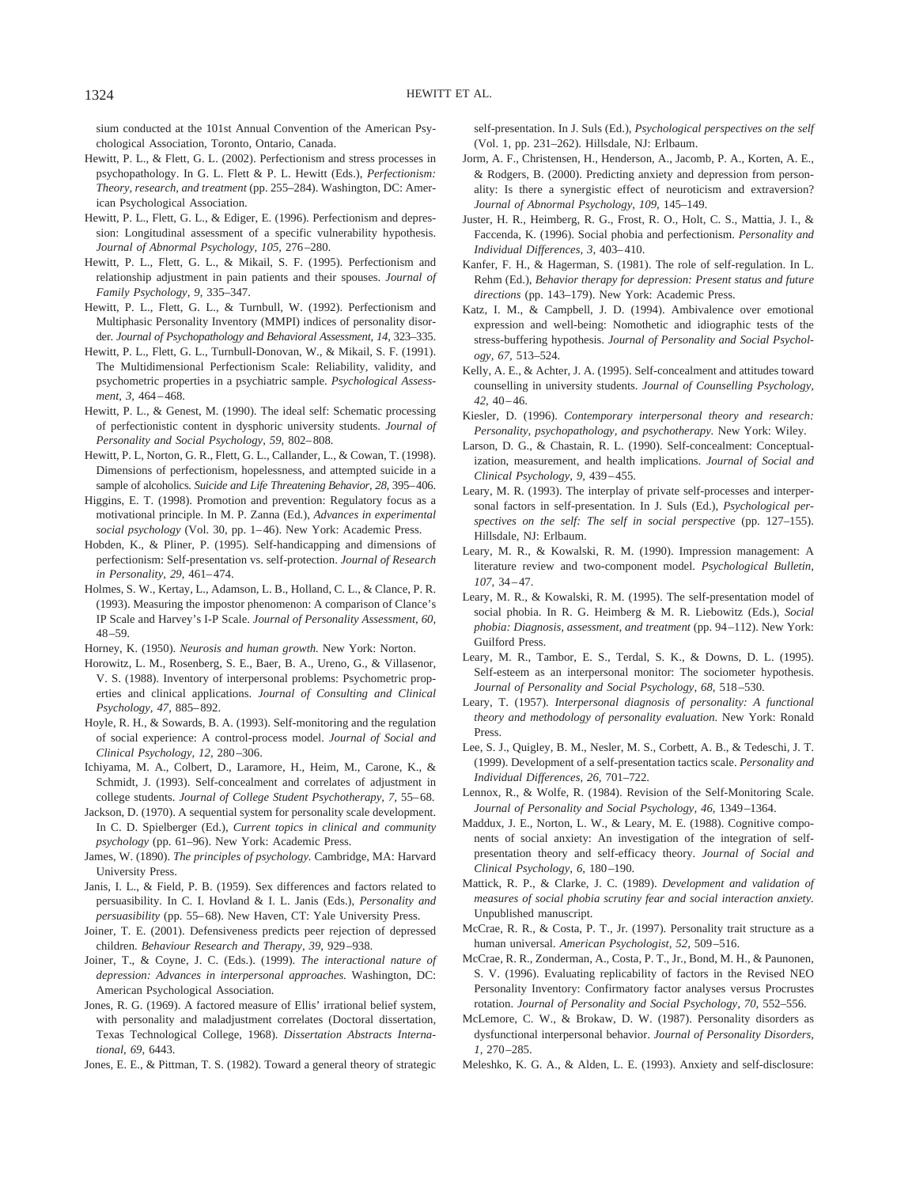sium conducted at the 101st Annual Convention of the American Psychological Association, Toronto, Ontario, Canada.

- Hewitt, P. L., & Flett, G. L. (2002). Perfectionism and stress processes in psychopathology. In G. L. Flett & P. L. Hewitt (Eds.), *Perfectionism: Theory, research, and treatment* (pp. 255–284). Washington, DC: American Psychological Association.
- Hewitt, P. L., Flett, G. L., & Ediger, E. (1996). Perfectionism and depression: Longitudinal assessment of a specific vulnerability hypothesis. *Journal of Abnormal Psychology, 105,* 276–280.
- Hewitt, P. L., Flett, G. L., & Mikail, S. F. (1995). Perfectionism and relationship adjustment in pain patients and their spouses. *Journal of Family Psychology, 9,* 335–347.
- Hewitt, P. L., Flett, G. L., & Turnbull, W. (1992). Perfectionism and Multiphasic Personality Inventory (MMPI) indices of personality disorder. *Journal of Psychopathology and Behavioral Assessment, 14,* 323–335.
- Hewitt, P. L., Flett, G. L., Turnbull-Donovan, W., & Mikail, S. F. (1991). The Multidimensional Perfectionism Scale: Reliability, validity, and psychometric properties in a psychiatric sample. *Psychological Assessment, 3,* 464–468.
- Hewitt, P. L., & Genest, M. (1990). The ideal self: Schematic processing of perfectionistic content in dysphoric university students. *Journal of Personality and Social Psychology, 59,* 802–808.
- Hewitt, P. L, Norton, G. R., Flett, G. L., Callander, L., & Cowan, T. (1998). Dimensions of perfectionism, hopelessness, and attempted suicide in a sample of alcoholics. *Suicide and Life Threatening Behavior, 28,* 395–406.
- Higgins, E. T. (1998). Promotion and prevention: Regulatory focus as a motivational principle. In M. P. Zanna (Ed.), *Advances in experimental social psychology* (Vol. 30, pp. 1–46). New York: Academic Press.
- Hobden, K., & Pliner, P. (1995). Self-handicapping and dimensions of perfectionism: Self-presentation vs. self-protection. *Journal of Research in Personality, 29,* 461–474.
- Holmes, S. W., Kertay, L., Adamson, L. B., Holland, C. L., & Clance, P. R. (1993). Measuring the impostor phenomenon: A comparison of Clance's IP Scale and Harvey's I-P Scale. *Journal of Personality Assessment, 60,* 48–59.
- Horney, K. (1950). *Neurosis and human growth.* New York: Norton.
- Horowitz, L. M., Rosenberg, S. E., Baer, B. A., Ureno, G., & Villasenor, V. S. (1988). Inventory of interpersonal problems: Psychometric properties and clinical applications. *Journal of Consulting and Clinical Psychology, 47,* 885–892.
- Hoyle, R. H., & Sowards, B. A. (1993). Self-monitoring and the regulation of social experience: A control-process model. *Journal of Social and Clinical Psychology, 12,* 280–306.
- Ichiyama, M. A., Colbert, D., Laramore, H., Heim, M., Carone, K., & Schmidt, J. (1993). Self-concealment and correlates of adjustment in college students. *Journal of College Student Psychotherapy, 7,* 55–68.
- Jackson, D. (1970). A sequential system for personality scale development. In C. D. Spielberger (Ed.), *Current topics in clinical and community psychology* (pp. 61–96). New York: Academic Press.
- James, W. (1890). *The principles of psychology.* Cambridge, MA: Harvard University Press.
- Janis, I. L., & Field, P. B. (1959). Sex differences and factors related to persuasibility. In C. I. Hovland & I. L. Janis (Eds.), *Personality and persuasibility* (pp. 55–68). New Haven, CT: Yale University Press.
- Joiner, T. E. (2001). Defensiveness predicts peer rejection of depressed children. *Behaviour Research and Therapy, 39,* 929–938.
- Joiner, T., & Coyne, J. C. (Eds.). (1999). *The interactional nature of depression: Advances in interpersonal approaches.* Washington, DC: American Psychological Association.
- Jones, R. G. (1969). A factored measure of Ellis' irrational belief system, with personality and maladjustment correlates (Doctoral dissertation, Texas Technological College, 1968). *Dissertation Abstracts International, 69,* 6443.

Jones, E. E., & Pittman, T. S. (1982). Toward a general theory of strategic

self-presentation. In J. Suls (Ed.), *Psychological perspectives on the self* (Vol. 1, pp. 231–262). Hillsdale, NJ: Erlbaum.

- Jorm, A. F., Christensen, H., Henderson, A., Jacomb, P. A., Korten, A. E., & Rodgers, B. (2000). Predicting anxiety and depression from personality: Is there a synergistic effect of neuroticism and extraversion? *Journal of Abnormal Psychology, 109,* 145–149.
- Juster, H. R., Heimberg, R. G., Frost, R. O., Holt, C. S., Mattia, J. I., & Faccenda, K. (1996). Social phobia and perfectionism. *Personality and Individual Differences, 3,* 403–410.
- Kanfer, F. H., & Hagerman, S. (1981). The role of self-regulation. In L. Rehm (Ed.), *Behavior therapy for depression: Present status and future directions* (pp. 143–179). New York: Academic Press.
- Katz, I. M., & Campbell, J. D. (1994). Ambivalence over emotional expression and well-being: Nomothetic and idiographic tests of the stress-buffering hypothesis. *Journal of Personality and Social Psychology, 67,* 513–524.
- Kelly, A. E., & Achter, J. A. (1995). Self-concealment and attitudes toward counselling in university students. *Journal of Counselling Psychology, 42,* 40–46.
- Kiesler, D. (1996). *Contemporary interpersonal theory and research: Personality, psychopathology, and psychotherapy.* New York: Wiley.
- Larson, D. G., & Chastain, R. L. (1990). Self-concealment: Conceptualization, measurement, and health implications. *Journal of Social and Clinical Psychology, 9,* 439–455.
- Leary, M. R. (1993). The interplay of private self-processes and interpersonal factors in self-presentation. In J. Suls (Ed.), *Psychological perspectives on the self: The self in social perspective* (pp. 127–155). Hillsdale, NJ: Erlbaum.
- Leary, M. R., & Kowalski, R. M. (1990). Impression management: A literature review and two-component model. *Psychological Bulletin, 107,* 34–47.
- Leary, M. R., & Kowalski, R. M. (1995). The self-presentation model of social phobia. In R. G. Heimberg & M. R. Liebowitz (Eds.), *Social phobia: Diagnosis, assessment, and treatment* (pp. 94–112). New York: Guilford Press.
- Leary, M. R., Tambor, E. S., Terdal, S. K., & Downs, D. L. (1995). Self-esteem as an interpersonal monitor: The sociometer hypothesis. *Journal of Personality and Social Psychology, 68,* 518–530.
- Leary, T. (1957). *Interpersonal diagnosis of personality: A functional theory and methodology of personality evaluation.* New York: Ronald Press.
- Lee, S. J., Quigley, B. M., Nesler, M. S., Corbett, A. B., & Tedeschi, J. T. (1999). Development of a self-presentation tactics scale. *Personality and Individual Differences, 26,* 701–722.
- Lennox, R., & Wolfe, R. (1984). Revision of the Self-Monitoring Scale. *Journal of Personality and Social Psychology, 46,* 1349–1364.
- Maddux, J. E., Norton, L. W., & Leary, M. E. (1988). Cognitive components of social anxiety: An investigation of the integration of selfpresentation theory and self-efficacy theory. *Journal of Social and Clinical Psychology, 6,* 180–190.
- Mattick, R. P., & Clarke, J. C. (1989). *Development and validation of measures of social phobia scrutiny fear and social interaction anxiety.* Unpublished manuscript.
- McCrae, R. R., & Costa, P. T., Jr. (1997). Personality trait structure as a human universal. *American Psychologist, 52,* 509–516.
- McCrae, R. R., Zonderman, A., Costa, P. T., Jr., Bond, M. H., & Paunonen, S. V. (1996). Evaluating replicability of factors in the Revised NEO Personality Inventory: Confirmatory factor analyses versus Procrustes rotation. *Journal of Personality and Social Psychology, 70,* 552–556.
- McLemore, C. W., & Brokaw, D. W. (1987). Personality disorders as dysfunctional interpersonal behavior. *Journal of Personality Disorders, 1,* 270–285.
- Meleshko, K. G. A., & Alden, L. E. (1993). Anxiety and self-disclosure: